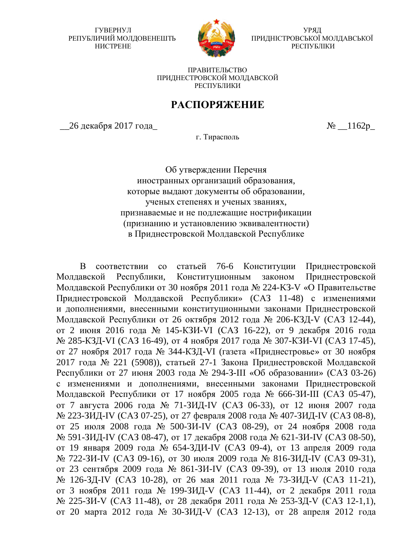ГУВЕРНУЛ РЕПУБЛИЧИЙ МОЛДОВЕНЕШТЬ HUCTPEHE



УРЯД ПРИДНІСТРОВСЬКОЇ МОЛДАВСЬКОЇ РЕСПУБЛІКИ

ПРАВИТЕЛЬСТВО ПРИЛНЕСТРОВСКОЙ МОЛЛАВСКОЙ РЕСПУБЛИКИ

## РАСПОРЯЖЕНИЕ

 $\alpha$  декабря 2017 года\_ в самых советствов в  $\delta$   $\alpha$  \_1162р\_

г. Тирасполь

Об утверждении Перечня иностранных организаций образования, которые выдают документы об образовании, ученых степенях и ученых званиях, признаваемые и не подлежащие нострификации (признанию и установлению эквивалентности) в Приднестровской Молдавской Республике

В соответствии со статьей 76-6 Конституции Приднестровской Молдавской Республики, Конституционным законом Приднестровской Молдавской Республики от 30 ноября 2011 года № 224-КЗ-V «О Правительстве Приднестровской Молдавской Республики» (САЗ 11-48) с изменениями и дополнениями, внесенными конституционными законами Приднестровской Молдавской Республики от 26 октября 2012 года № 206-КЗД-V (САЗ 12-44), от 2 июня 2016 года № 145-КЗИ-VI (САЗ 16-22), от 9 декабря 2016 года № 285-КЗД-VI (САЗ 16-49), от 4 ноября 2017 года № 307-КЗИ-VI (САЗ 17-45), от 27 ноября 2017 года № 344-КЗД-VI (газета «Приднестровье» от 30 ноября 2017 года № 221 (5908)), статьей 27-1 Закона Приднестровской Молдавской Республики от 27 июня 2003 года № 294-З-III «Об образовании» (САЗ 03-26) с изменениями и дополнениями, внесенными законами Приднестровской Молдавской Республики от 17 ноября 2005 года № 666-ЗИ-III (САЗ 05-47), от 7 августа 2006 года № 71-ЗИД-IV (САЗ 06-33), от 12 июня 2007 года № 223-ЗИД-IV (САЗ 07-25), от 27 февраля 2008 года № 407-ЗИД-IV (САЗ 08-8), от 25 июля 2008 года № 500-ЗИ-IV (САЗ 08-29), от 24 ноября 2008 года № 591-ЗИД-IV (САЗ 08-47), от 17 декабря 2008 года № 621-ЗИ-IV (САЗ 08-50), от 19 января 2009 года № 654-ЗДИ-IV (САЗ 09-4), от 13 апреля 2009 года № 722-ЗИ-IV (САЗ 09-16), от 30 июля 2009 года № 816-ЗИД-IV (САЗ 09-31), от 23 сентября 2009 года № 861-ЗИ-IV (САЗ 09-39), от 13 июля 2010 года № 126-ЗД-IV (САЗ 10-28), от 26 мая 2011 года № 73-ЗИД-V (САЗ 11-21), от 3 ноября 2011 года № 199-ЗИД-V (САЗ 11-44), от 2 декабря 2011 года № 225-ЗИ-V (САЗ 11-48), от 28 декабря 2011 года № 253-ЗД-V (САЗ 12-1,1), от 20 марта 2012 года № 30-ЗИД-V (САЗ 12-13), от 28 апреля 2012 года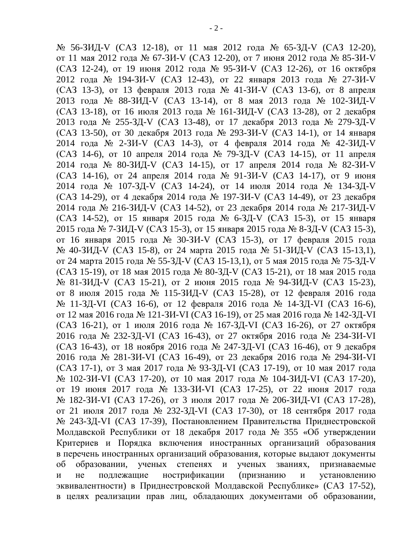№ 56-ЗИД-V (САЗ 12-18), от 11 мая 2012 года № 65-ЗД-V (САЗ 12-20), от 11 мая 2012 года № 67-ЗИ-V (САЗ 12-20), от 7 июня 2012 года № 85-ЗИ-V  $(CA3 12-24)$ , от 19 июня 2012 года № 95-ЗИ-V (САЗ 12-26), от 16 октября 2012 года № 194-ЗИ-V (САЗ 12-43), от 22 января 2013 года № 27-ЗИ-V  $(CA3 13-3)$ , от 13 февраля 2013 года № 41-ЗИ-V (САЗ 13-6), от 8 апреля 2013 года № 88-ЗИД-V (САЗ 13-14), от 8 мая 2013 года № 102-ЗИД-V  $(CA3 13-18)$ , от 16 июля 2013 года № 161-ЗИД-V (САЗ 13-28), от 2 декабря  $2013$  года № 255-ЗД-V (САЗ 13-48), от 17 декабря 2013 года № 279-ЗД-V (САЗ 13-50), от 30 декабря 2013 года № 293-ЗИ-V (САЗ 14-1), от 14 января 2014 года № 2-ЗИ-V (САЗ 14-3), от 4 февраля 2014 года № 42-ЗИД-V (САЗ 14-6), от 10 апреля 2014 года № 79-ЗД-V (САЗ 14-15), от 11 апреля 2014 года № 80-ЗИД-V (САЗ 14-15), от 17 апреля 2014 года № 82-ЗИ-V (САЗ 14-16), от 24 апреля 2014 года № 91-ЗИ-V (САЗ 14-17), от 9 июня 2014 года № 107-ЗД-V (САЗ 14-24), от 14 июля 2014 года № 134-ЗД-V  $(CA3 14-29)$ , от 4 декабря 2014 года № 197-ЗИ-V (САЗ 14-49), от 23 декабря 2014 года № 216-ЗИД-V (САЗ 14-52), от 23 декабря 2014 года № 217-ЗИД-V (САЗ 14-52), от 15 января 2015 года № 6-ЗД-V (САЗ 15-3), от 15 января 2015 года № 7-ЗИД-V (САЗ 15-3), от 15 января 2015 года № 8-ЗД-V (САЗ 15-3), от 16 января 2015 года № 30-ЗИ-V (САЗ 15-3), от 17 февраля 2015 года № 40-ЗИД-V (САЗ 15-8), от 24 марта 2015 года № 51-ЗИД-V (САЗ 15-13,1), от 24 марта 2015 года № 55-ЗД-V (САЗ 15-13,1), от 5 мая 2015 года № 75-ЗД-V (САЗ 15-19), от 18 мая 2015 года № 80-ЗД-V (САЗ 15-21), от 18 мая 2015 года № 81-ЗИД-V (САЗ 15-21), от 2 июня 2015 года № 94-ЗИД-V (САЗ 15-23), от 8 июля 2015 года № 115-ЗИД-V (САЗ 15-28), от 12 февраля 2016 года № 11-ЗД-VI (САЗ 16-6), от 12 февраля 2016 года № 14-ЗД-VI (САЗ 16-6), от 12 мая 2016 года № 121-ЗИ-VI (САЗ 16-19), от 25 мая 2016 года № 142-ЗД-VI  $(CA3 16-21)$ , от 1 июля 2016 года № 167-ЗД-VI (САЗ 16-26), от 27 октября 2016 года № 232-ЗД-VI (САЗ 16-43), от 27 октября 2016 года № 234-ЗИ-VI  $(CA3 16-43)$ , от 18 ноября 2016 года № 247-ЗД-VI (САЗ 16-46), от 9 декабря 2016 года № 281-ЗИ-VI (САЗ 16-49), от 23 декабря 2016 года № 294-ЗИ-VI (САЗ 17-1), от 3 мая 2017 года № 93-ЗД-VI (САЗ 17-19), от 10 мая 2017 года № 102-ЗИ-VI (САЗ 17-20), от 10 мая 2017 года № 104-ЗИД-VI (САЗ 17-20), от 19 июня 2017 года № 133-ЗИ-VI (САЗ 17-25), от 22 июня 2017 года № 182-ЗИ-VI (САЗ 17-26), от 3 июля 2017 года № 206-ЗИД-VI (САЗ 17-28), от 21 июля 2017 года № 232-ЗД-VI (САЗ 17-30), от 18 сентября 2017 года № 243-ЗД-VI (САЗ 17-39), Постановлением Правительства Приднестровской Молдавской Республики от 18 декабря 2017 года № 355 «Об утверждении Критериев и Порядка включения иностранных организаций образования в перечень иностранных организаций образования, которые выдают документы об образовании, ученых степенях и ученых званиях, признаваемые и не подлежащие нострификации (признанию и установлению эквивалентности) в Приднестровской Молдавской Республике» (САЗ 17-52), в целях реализации прав лиц, обладающих документами об образовании,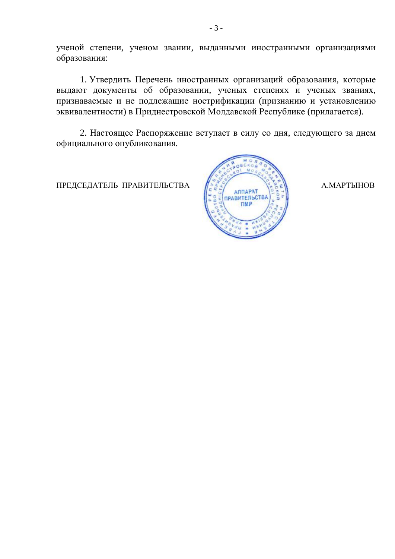ученой степени, ученом звании, выданными иностранными организациями образования:

1. Утвердить Перечень иностранных организаций образования, которые выдают документы об образовании, ученых степенях и ученых званиях, признаваемые и не подлежащие нострификации (признанию и установлению эквивалентности) в Приднестровской Молдавской Республике (прилагается).

2. Настоящее Распоряжение вступает в силу со дня, следующего за днем официального опубликования.

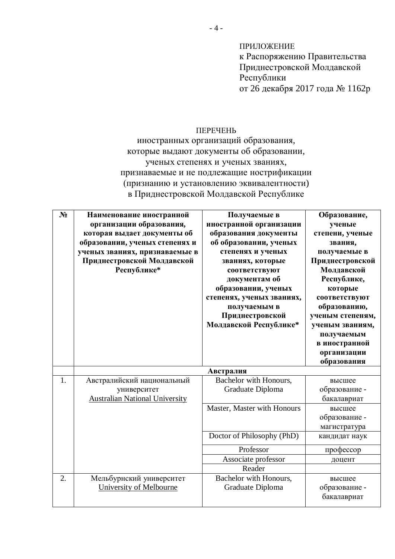ПРИЛОЖЕНИЕ к Распоряжению Правительства Приднестровской Молдавской Республики от 26 декабря 2017 года № 1162р

## **ПЕРЕЧЕНЬ**

иностранных организаций образования, которые выдают документы об образовании, ученых степенях и ученых званиях, признаваемые и не подлежащие нострификации (признанию и установлению эквивалентности) в Приднестровской Молдавской Республике

| $N_2$ | Наименование иностранной<br>организации образования,<br>которая выдает документы об<br>образовании, ученых степенях и<br>ученых званиях, признаваемые в<br>Приднестровской Молдавской<br>Республике* | Получаемые в<br>иностранной организации<br>образования документы<br>об образовании, ученых<br>степенях и ученых<br>званиях, которые<br>соответствуют<br>документам об<br>образовании, ученых<br>степенях, ученых званиях,<br>получаемым в<br>Приднестровской<br>Молдавской Республике* | Образование,<br>ученые<br>степени, ученые<br>звания,<br>получаемые в<br>Приднестровской<br>Молдавской<br>Республике,<br>которые<br>соответствуют<br>образованию,<br>ученым степеням,<br>ученым званиям,<br>получаемым<br>в иностранной<br>организации<br>образования |
|-------|------------------------------------------------------------------------------------------------------------------------------------------------------------------------------------------------------|----------------------------------------------------------------------------------------------------------------------------------------------------------------------------------------------------------------------------------------------------------------------------------------|----------------------------------------------------------------------------------------------------------------------------------------------------------------------------------------------------------------------------------------------------------------------|
| 1.    | Австралийский национальный<br>университет<br><b>Australian National University</b>                                                                                                                   | Австралия<br>Bachelor with Honours,<br>Graduate Diploma<br>Master, Master with Honours<br>Doctor of Philosophy (PhD)<br>Professor<br>Associate professor<br>Reader                                                                                                                     | высшее<br>образование -<br>бакалавриат<br>высшее<br>образование -<br>магистратура<br>кандидат наук<br>профессор<br>доцент                                                                                                                                            |
| 2.    | Мельбурнский университет<br><b>University of Melbourne</b>                                                                                                                                           | Bachelor with Honours,<br>Graduate Diploma                                                                                                                                                                                                                                             | высшее<br>образование -<br>бакалавриат                                                                                                                                                                                                                               |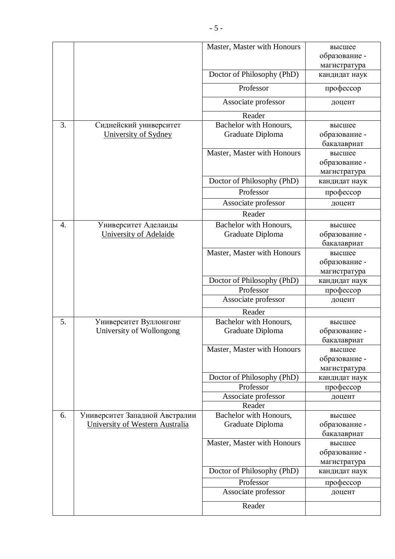|                  |                                 | Master, Master with Honours | высшее                        |
|------------------|---------------------------------|-----------------------------|-------------------------------|
|                  |                                 |                             | образование -                 |
|                  |                                 |                             | магистратура                  |
|                  |                                 | Doctor of Philosophy (PhD)  | кандидат наук                 |
|                  |                                 | Professor                   | профессор                     |
|                  |                                 | Associate professor         | доцент                        |
|                  |                                 | Reader                      |                               |
| 3.               | Сиднейский университет          | Bachelor with Honours,      | высшее                        |
|                  | University of Sydney            | Graduate Diploma            | образование -                 |
|                  |                                 |                             | бакалавриат                   |
|                  |                                 | Master, Master with Honours | высшее                        |
|                  |                                 |                             | образование -                 |
|                  |                                 |                             | магистратура                  |
|                  |                                 | Doctor of Philosophy (PhD)  | кандидат наук                 |
|                  |                                 | Professor                   | профессор                     |
|                  |                                 | Associate professor         | доцент                        |
|                  |                                 | Reader                      |                               |
| $\overline{4}$ . | Университет Аделаиды            | Bachelor with Honours,      | высшее                        |
|                  | <b>University of Adelaide</b>   | Graduate Diploma            | образование -                 |
|                  |                                 |                             | бакалавриат                   |
|                  |                                 | Master, Master with Honours | высшее                        |
|                  |                                 |                             | образование -                 |
|                  |                                 |                             | магистратура                  |
|                  |                                 | Doctor of Philosophy (PhD)  | кандидат наук                 |
|                  |                                 | Professor                   | профессор                     |
|                  |                                 | Associate professor         | доцент                        |
|                  |                                 | Reader                      |                               |
| 5.               | Университет Вуллонгонг          | Bachelor with Honours,      | высшее                        |
|                  | University of Wollongong        | Graduate Diploma            | образование -                 |
|                  |                                 |                             | бакалавриат                   |
|                  |                                 | Master, Master with Honours | высшее                        |
|                  |                                 |                             | образование -<br>магистратура |
|                  |                                 | Doctor of Philosophy (PhD)  | кандидат наук                 |
|                  |                                 | Professor                   | профессор                     |
|                  |                                 | Associate professor         | доцент                        |
|                  |                                 | Reader                      |                               |
| 6.               | Университет Западной Австралии  | Bachelor with Honours,      | высшее                        |
|                  | University of Western Australia | Graduate Diploma            | образование -                 |
|                  |                                 |                             | бакалавриат                   |
|                  |                                 | Master, Master with Honours | высшее                        |
|                  |                                 |                             | образование -                 |
|                  |                                 |                             | магистратура                  |
|                  |                                 | Doctor of Philosophy (PhD)  | кандидат наук                 |
|                  |                                 | Professor                   | профессор                     |
|                  |                                 | Associate professor         | доцент                        |
|                  |                                 | Reader                      |                               |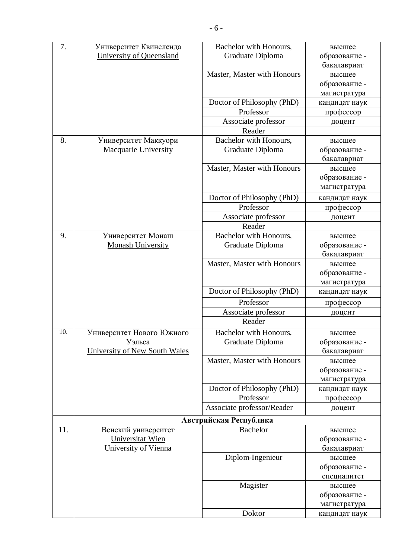| 7.  | Университет Квинсленда          | Bachelor with Honours,      | высшее        |
|-----|---------------------------------|-----------------------------|---------------|
|     | <b>University of Queensland</b> | Graduate Diploma            | образование - |
|     |                                 |                             | бакалавриат   |
|     |                                 | Master, Master with Honours | высшее        |
|     |                                 |                             | образование - |
|     |                                 |                             | магистратура  |
|     |                                 | Doctor of Philosophy (PhD)  | кандидат наук |
|     |                                 | Professor                   | профессор     |
|     |                                 | Associate professor         | доцент        |
|     |                                 | Reader                      |               |
| 8.  | Университет Маккуори            | Bachelor with Honours,      | высшее        |
|     | <b>Macquarie University</b>     | Graduate Diploma            | образование - |
|     |                                 |                             | бакалавриат   |
|     |                                 | Master, Master with Honours | высшее        |
|     |                                 |                             | образование - |
|     |                                 |                             | магистратура  |
|     |                                 | Doctor of Philosophy (PhD)  | кандидат наук |
|     |                                 | Professor                   | профессор     |
|     |                                 | Associate professor         | доцент        |
|     |                                 | Reader                      |               |
| 9.  | Университет Монаш               | Bachelor with Honours,      | высшее        |
|     | <b>Monash University</b>        | Graduate Diploma            | образование - |
|     |                                 |                             | бакалавриат   |
|     |                                 | Master, Master with Honours | высшее        |
|     |                                 |                             | образование - |
|     |                                 |                             | магистратура  |
|     |                                 | Doctor of Philosophy (PhD)  | кандидат наук |
|     |                                 | Professor                   | профессор     |
|     |                                 | Associate professor         | доцент        |
|     |                                 | Reader                      |               |
| 10. | Университет Нового Южного       | Bachelor with Honours,      | высшее        |
|     | Уэльса                          | Graduate Diploma            | образование - |
|     | University of New South Wales   |                             | бакалавриат   |
|     |                                 | Master, Master with Honours | высшее        |
|     |                                 |                             | образование - |
|     |                                 |                             | магистратура  |
|     |                                 | Doctor of Philosophy (PhD)  | кандидат наук |
|     |                                 | Professor                   | профессор     |
|     |                                 | Associate professor/Reader  | доцент        |
|     |                                 | Австрийская Республика      |               |
| 11. | Венский университет             | <b>Bachelor</b>             | высшее        |
|     | <b>Universitat Wien</b>         |                             | образование - |
|     | University of Vienna            |                             | бакалавриат   |
|     |                                 | Diplom-Ingenieur            | высшее        |
|     |                                 |                             | образование - |
|     |                                 |                             | специалитет   |
|     |                                 | Magister                    | высшее        |
|     |                                 |                             | образование - |
|     |                                 |                             | магистратура  |
|     |                                 | Doktor                      | кандидат наук |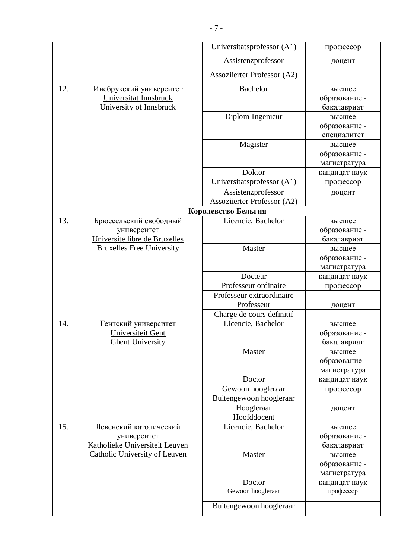|     |                                                                             | Universitatsprofessor (A1)        | профессор                               |
|-----|-----------------------------------------------------------------------------|-----------------------------------|-----------------------------------------|
|     |                                                                             | Assistenzprofessor                | доцент                                  |
|     |                                                                             | Assoziierter Professor (A2)       |                                         |
| 12. | Инсбрукский университет<br>Universitat Innsbruck<br>University of Innsbruck | <b>Bachelor</b>                   | высшее<br>образование -<br>бакалавриат  |
|     |                                                                             | Diplom-Ingenieur                  | высшее<br>образование -<br>специалитет  |
|     |                                                                             | Magister                          | высшее<br>образование -<br>магистратура |
|     |                                                                             | Doktor                            | кандидат наук                           |
|     |                                                                             | Universitatsprofessor (A1)        | профессор                               |
|     |                                                                             | Assistenzprofessor                | доцент                                  |
|     |                                                                             | Assoziierter Professor (A2)       |                                         |
|     |                                                                             | Королевство Бельгия               |                                         |
| 13. | Брюссельский свободный<br>университет<br>Universite libre de Bruxelles      | Licencie, Bachelor                | высшее<br>образование -<br>бакалавриат  |
|     | <b>Bruxelles Free University</b>                                            | Master                            | высшее<br>образование -<br>магистратура |
|     |                                                                             | Docteur                           | кандидат наук                           |
|     |                                                                             | Professeur ordinaire              | профессор                               |
|     |                                                                             | Professeur extraordinaire         |                                         |
|     |                                                                             | Professeur                        | доцент                                  |
|     |                                                                             | Charge de cours definitif         |                                         |
| 14. | Гентский университет<br>Universiteit Gent<br><b>Ghent University</b>        | Licencie, Bachelor                | высшее<br>образование -<br>бакалавриат  |
|     |                                                                             | Master                            | высшее<br>образование -<br>магистратура |
|     |                                                                             | Doctor                            | кандидат наук                           |
|     |                                                                             | Gewoon hoogleraar                 | профессор                               |
|     |                                                                             | Buitengewoon hoogleraar           |                                         |
|     |                                                                             | Hoogleraar                        | доцент                                  |
| 15. | Левенский католический<br>университет<br>Katholieke Universiteit Leuven     | Hoofddocent<br>Licencie, Bachelor | высшее<br>образование -<br>бакалавриат  |
|     | Catholic University of Leuven                                               | Master                            | высшее<br>образование -<br>магистратура |
|     |                                                                             | Doctor                            | кандидат наук                           |
|     |                                                                             | Gewoon hoogleraar                 | профессор                               |
|     |                                                                             | Buitengewoon hoogleraar           |                                         |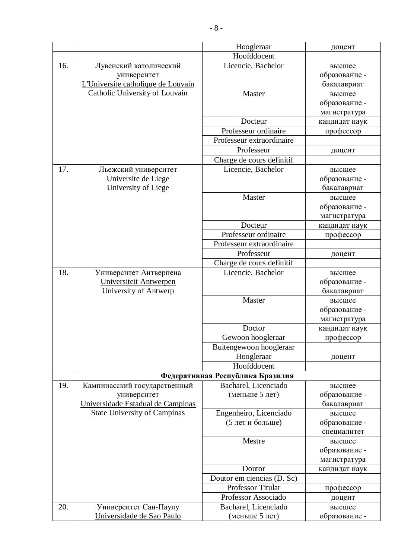|     |                                     | Hoogleraar                       | доцент           |
|-----|-------------------------------------|----------------------------------|------------------|
|     |                                     | Hoofddocent                      |                  |
| 16. | Лувенский католический              | Licencie, Bachelor               | высшее           |
|     | университет                         |                                  | образование -    |
|     | L'Universite catholique de Louvain  |                                  | бакалавриат      |
|     | Catholic University of Louvain      | Master                           | высшее           |
|     |                                     |                                  | образование -    |
|     |                                     |                                  | магистратура     |
|     |                                     | Docteur                          | кандидат наук    |
|     |                                     | Professeur ordinaire             | профессор        |
|     |                                     | Professeur extraordinaire        |                  |
|     |                                     | Professeur                       | доцент           |
|     |                                     | Charge de cours definitif        |                  |
| 17. | Льежский университет                | Licencie, Bachelor               | высшее           |
|     | Universite de Liege                 |                                  | образование -    |
|     | University of Liege                 |                                  | бакалавриат      |
|     |                                     | Master                           | высшее           |
|     |                                     |                                  | образование -    |
|     |                                     |                                  | магистратура     |
|     |                                     | Docteur                          | кандидат наук    |
|     |                                     | Professeur ordinaire             | профессор        |
|     |                                     | Professeur extraordinaire        |                  |
|     |                                     | Professeur                       | доцент           |
|     |                                     | Charge de cours definitif        |                  |
| 18. | Университет Антверпена              | Licencie, Bachelor               | высшее           |
|     | Universiteit Antwerpen              |                                  | образование -    |
|     | University of Antwerp               |                                  | бакалавриат      |
|     |                                     | Master                           | высшее           |
|     |                                     |                                  | образование -    |
|     |                                     |                                  | магистратура     |
|     |                                     | Doctor                           | кандидат наук    |
|     |                                     | Gewoon hoogleraar                | профессор        |
|     |                                     | Buitengewoon hoogleraar          |                  |
|     |                                     | Hoogleraar                       | доцент           |
|     |                                     | Hoofddocent                      |                  |
|     |                                     | Федеративная Республика Бразилия |                  |
| 19. | Кампинасский государственный        | Bacharel, Licenciado             | высшее           |
|     | университет                         | (меньше 5 лет)                   | образование -    |
|     | Universidade Estadual de Campinas   |                                  | бакалавриат      |
|     | <b>State University of Campinas</b> | Engenheiro, Licenciado           | высшее           |
|     |                                     | (5 лет и больше)                 | образование -    |
|     |                                     |                                  | специалитет      |
|     |                                     | Mestre                           | высшее           |
|     |                                     |                                  | образование -    |
|     |                                     | Doutor                           | магистратура     |
|     |                                     | Doutor em ciencias (D. Sc)       | кандидат наук    |
|     |                                     | Professor Titular                | профессор        |
|     |                                     | Professor Associado              |                  |
| 20. | Университет Сан-Паулу               | Bacharel, Licenciado             | доцент<br>высшее |
|     | Universidade de Sao Paulo           | (меньше 5 лет)                   | образование -    |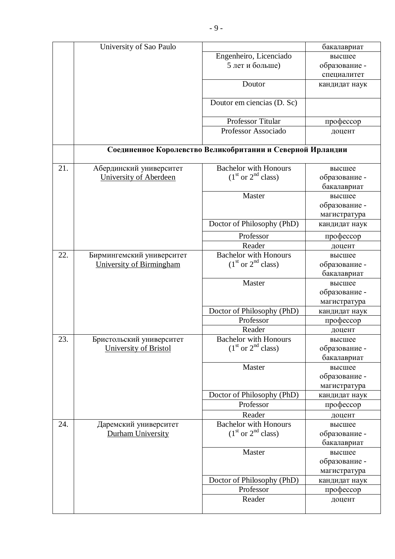|     | University of Sao Paulo   |                                                            | бакалавриат                   |
|-----|---------------------------|------------------------------------------------------------|-------------------------------|
|     |                           | Engenheiro, Licenciado                                     | высшее                        |
|     |                           | 5 лет и больше)                                            | образование -                 |
|     |                           |                                                            | специалитет                   |
|     |                           | Doutor                                                     | кандидат наук                 |
|     |                           | Doutor em ciencias (D. Sc)                                 |                               |
|     |                           | Professor Titular                                          | профессор                     |
|     |                           | Professor Associado                                        | доцент                        |
|     |                           | Соединенное Королевство Великобритании и Северной Ирландии |                               |
| 21. | Абердинский университет   | <b>Bachelor with Honours</b>                               | высшее                        |
|     | University of Aberdeen    | $(1st or 2nd class)$                                       | образование -                 |
|     |                           |                                                            | бакалавриат                   |
|     |                           | Master                                                     | высшее                        |
|     |                           |                                                            | образование -                 |
|     |                           |                                                            | магистратура                  |
|     |                           | Doctor of Philosophy (PhD)                                 | кандидат наук                 |
|     |                           | Professor                                                  | профессор                     |
|     |                           | Reader                                                     | доцент                        |
| 22. | Бирмингемский университет | <b>Bachelor with Honours</b>                               | высшее                        |
|     | University of Birmingham  | $(1st or 2nd class)$                                       | образование -                 |
|     |                           |                                                            | бакалавриат                   |
|     |                           | Master                                                     | высшее                        |
|     |                           |                                                            | образование -                 |
|     |                           |                                                            | магистратура                  |
|     |                           | Doctor of Philosophy (PhD)                                 | кандидат наук                 |
|     |                           | Professor                                                  | профессор                     |
|     |                           | Reader                                                     | доцент                        |
| 23. | Бристольский университет  | <b>Bachelor with Honours</b>                               | высшее                        |
|     | University of Bristol     | $(1st or 2nd class)$                                       | образование -                 |
|     |                           |                                                            | бакалавриат                   |
|     |                           | Master                                                     | высшее                        |
|     |                           |                                                            | образование -                 |
|     |                           |                                                            | магистратура                  |
|     |                           | Doctor of Philosophy (PhD)<br>Professor                    | кандидат наук                 |
|     |                           |                                                            | профессор                     |
| 24. | Даремский университет     | Reader<br><b>Bachelor with Honours</b>                     | доцент                        |
|     | Durham University         | $(1st or 2nd class)$                                       | высшее<br>образование -       |
|     |                           |                                                            | бакалавриат                   |
|     |                           | Master                                                     | высшее                        |
|     |                           |                                                            | образование -                 |
|     |                           |                                                            |                               |
|     |                           | Doctor of Philosophy (PhD)                                 | магистратура<br>кандидат наук |
|     |                           | Professor                                                  | профессор                     |
|     |                           | Reader                                                     | доцент                        |
|     |                           |                                                            |                               |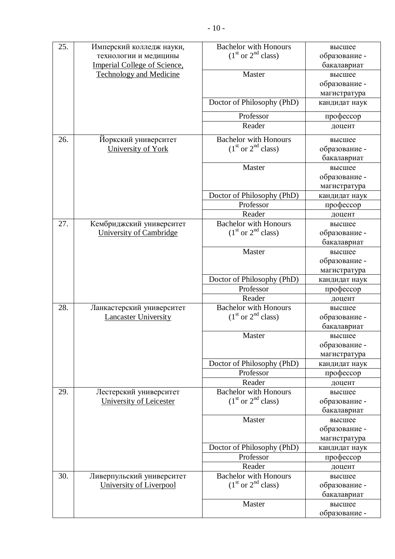| 25. | Имперский колледж науки,       | <b>Bachelor with Honours</b>            | высшее           |
|-----|--------------------------------|-----------------------------------------|------------------|
|     | технологии и медицины          | $(1st or 2nd class)$                    | образование -    |
|     | Imperial College of Science,   |                                         | бакалавриат      |
|     | <b>Technology and Medicine</b> | Master                                  | высшее           |
|     |                                |                                         | образование -    |
|     |                                |                                         | магистратура     |
|     |                                | Doctor of Philosophy (PhD)              | кандидат наук    |
|     |                                | Professor                               | профессор        |
|     |                                | Reader                                  | доцент           |
| 26. | Йоркский университет           | <b>Bachelor with Honours</b>            | высшее           |
|     | University of York             | $(1st or 2nd class)$                    | образование -    |
|     |                                |                                         | бакалавриат      |
|     |                                | Master                                  | высшее           |
|     |                                |                                         | образование -    |
|     |                                |                                         | магистратура     |
|     |                                | Doctor of Philosophy (PhD)              | кандидат наук    |
|     |                                | Professor                               | профессор        |
|     |                                | Reader                                  | доцент           |
| 27. | Кембриджский университет       | <b>Bachelor with Honours</b>            | высшее           |
|     | University of Cambridge        | $(1st or 2nd class)$                    | образование -    |
|     |                                |                                         | бакалавриат      |
|     |                                | Master                                  | высшее           |
|     |                                |                                         | образование -    |
|     |                                |                                         | магистратура     |
|     |                                | Doctor of Philosophy (PhD)              | кандидат наук    |
|     |                                | Professor                               | профессор        |
|     |                                | Reader                                  | доцент           |
| 28. | Ланкастерский университет      | <b>Bachelor with Honours</b>            | высшее           |
|     | <b>Lancaster University</b>    | $(1st or 2nd class)$                    | образование -    |
|     |                                |                                         | бакалавриат      |
|     |                                | Master                                  | высшее           |
|     |                                |                                         | образование -    |
|     |                                |                                         | магистратура     |
|     |                                | Doctor of Philosophy (PhD)              | кандидат наук    |
|     |                                | Professor                               | профессор        |
|     |                                | Reader                                  | доцент           |
| 29. | Лестерский университет         | <b>Bachelor with Honours</b>            | высшее           |
|     | University of Leicester        | $(1st or 2nd class)$                    | образование -    |
|     |                                |                                         | бакалавриат      |
|     |                                | Master                                  | высшее           |
|     |                                |                                         | образование -    |
|     |                                |                                         | магистратура     |
|     |                                | Doctor of Philosophy (PhD)<br>Professor | кандидат наук    |
|     |                                | Reader                                  | профессор        |
| 30. | Ливерпульский университет      | <b>Bachelor with Honours</b>            | доцент<br>высшее |
|     | University of Liverpool        | $(1st or 2nd class)$                    | образование -    |
|     |                                |                                         | бакалавриат      |
|     |                                | Master                                  | высшее           |
|     |                                |                                         | образование -    |
|     |                                |                                         |                  |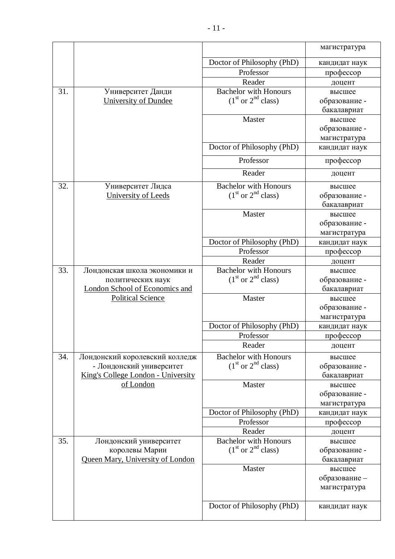|     |                                       |                                                      | магистратура               |
|-----|---------------------------------------|------------------------------------------------------|----------------------------|
|     |                                       | Doctor of Philosophy (PhD)                           | кандидат наук              |
|     |                                       | Professor                                            | профессор                  |
|     |                                       | Reader                                               | доцент                     |
| 31. | Университет Данди                     | <b>Bachelor with Honours</b>                         | высшее                     |
|     | University of Dundee                  | $(1st or 2nd class)$                                 | образование -              |
|     |                                       |                                                      | бакалавриат                |
|     |                                       | Master                                               | высшее                     |
|     |                                       |                                                      | образование -              |
|     |                                       |                                                      | магистратура               |
|     |                                       | Doctor of Philosophy (PhD)                           | кандидат наук              |
|     |                                       | Professor                                            | профессор                  |
|     |                                       | Reader                                               | доцент                     |
| 32. | Университет Лидса                     | <b>Bachelor with Honours</b>                         | высшее                     |
|     | University of Leeds                   | $(1st or 2nd class)$                                 | образование -              |
|     |                                       |                                                      | бакалавриат                |
|     |                                       | Master                                               | высшее                     |
|     |                                       |                                                      | образование -              |
|     |                                       | Doctor of Philosophy (PhD)                           | магистратура               |
|     |                                       | Professor                                            | кандидат наук<br>профессор |
|     |                                       | Reader                                               | доцент                     |
| 33. | Лондонская школа экономики и          | <b>Bachelor with Honours</b>                         | высшее                     |
|     | политических наук                     | $(1st or 2nd class)$                                 | образование -              |
|     | <b>London School of Economics and</b> |                                                      | бакалавриат                |
|     | <b>Political Science</b>              | Master                                               | высшее                     |
|     |                                       |                                                      | образование -              |
|     |                                       |                                                      | магистратура               |
|     |                                       | Doctor of Philosophy (PhD)                           | кандидат наук              |
|     |                                       | Professor                                            | профессор                  |
|     |                                       | Reader                                               | доцент                     |
| 34. | Лондонский королевский колледж        | <b>Bachelor with Honours</b>                         | высшее                     |
|     | - Лондонский университет              | $(1st or 2nd class)$                                 | образование -              |
|     | King's College London - University    |                                                      | бакалавриат                |
|     | of London                             | Master                                               | высшее                     |
|     |                                       |                                                      | образование -              |
|     |                                       |                                                      | магистратура               |
|     |                                       | Doctor of Philosophy (PhD)                           | кандидат наук              |
|     |                                       | Professor                                            | профессор                  |
|     |                                       | Reader                                               | доцент                     |
| 35. | Лондонский университет                | <b>Bachelor with Honours</b><br>$(1st or 2nd class)$ | высшее                     |
|     | королевы Марии                        |                                                      | образование -              |
|     | Queen Mary, University of London      | Master                                               | бакалавриат                |
|     |                                       |                                                      | высшее<br>образование -    |
|     |                                       |                                                      | магистратура               |
|     |                                       |                                                      |                            |
|     |                                       | Doctor of Philosophy (PhD)                           | кандидат наук              |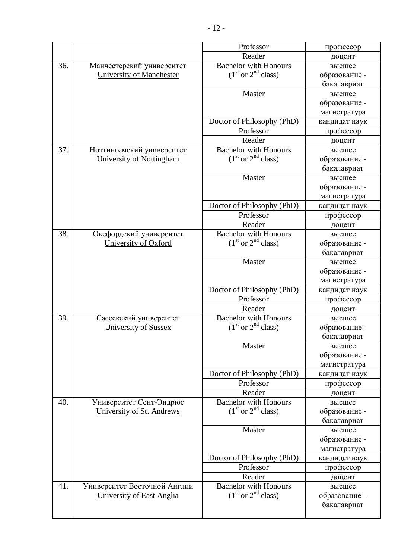|     |                                 | Professor                    | профессор     |
|-----|---------------------------------|------------------------------|---------------|
|     |                                 | Reader                       | доцент        |
| 36. | Манчестерский университет       | <b>Bachelor with Honours</b> | высшее        |
|     | <b>University of Manchester</b> | $(1st or 2nd class)$         | образование - |
|     |                                 |                              | бакалавриат   |
|     |                                 | Master                       | высшее        |
|     |                                 |                              | образование - |
|     |                                 |                              | магистратура  |
|     |                                 | Doctor of Philosophy (PhD)   | кандидат наук |
|     |                                 | Professor                    | профессор     |
|     |                                 | Reader                       | доцент        |
| 37. | Ноттингемский университет       | <b>Bachelor with Honours</b> | высшее        |
|     | University of Nottingham        | $(1st or 2nd class)$         | образование - |
|     |                                 |                              | бакалавриат   |
|     |                                 | Master                       | высшее        |
|     |                                 |                              | образование - |
|     |                                 |                              | магистратура  |
|     |                                 | Doctor of Philosophy (PhD)   | кандидат наук |
|     |                                 | Professor                    | профессор     |
|     |                                 | Reader                       | доцент        |
| 38. | Оксфордский университет         | <b>Bachelor with Honours</b> | высшее        |
|     | University of Oxford            | $(1st or 2nd class)$         | образование - |
|     |                                 |                              | бакалавриат   |
|     |                                 | Master                       | высшее        |
|     |                                 |                              | образование - |
|     |                                 |                              | магистратура  |
|     |                                 | Doctor of Philosophy (PhD)   | кандидат наук |
|     |                                 | Professor                    | профессор     |
|     |                                 | Reader                       | доцент        |
| 39. | Сассекский университет          | <b>Bachelor with Honours</b> | высшее        |
|     | University of Sussex            | $(1st or 2nd class)$         | образование - |
|     |                                 |                              | бакалавриат   |
|     |                                 | Master                       | высшее        |
|     |                                 |                              | образование - |
|     |                                 |                              | магистратура  |
|     |                                 | Doctor of Philosophy (PhD)   | кандидат наук |
|     |                                 | Professor                    | профессор     |
|     |                                 | Reader                       | доцент        |
| 40. | Университет Сент-Эндрюс         | <b>Bachelor with Honours</b> | высшее        |
|     | University of St. Andrews       | $(1st or 2nd class)$         | образование - |
|     |                                 |                              | бакалавриат   |
|     |                                 | Master                       | высшее        |
|     |                                 |                              | образование - |
|     |                                 |                              | магистратура  |
|     |                                 | Doctor of Philosophy (PhD)   | кандидат наук |
|     |                                 | Professor                    | профессор     |
|     |                                 | Reader                       | доцент        |
| 41. | Университет Восточной Англии    | <b>Bachelor with Honours</b> | высшее        |
|     | University of East Anglia       | $(1st or 2nd class)$         | образование - |
|     |                                 |                              | бакалавриат   |
|     |                                 |                              |               |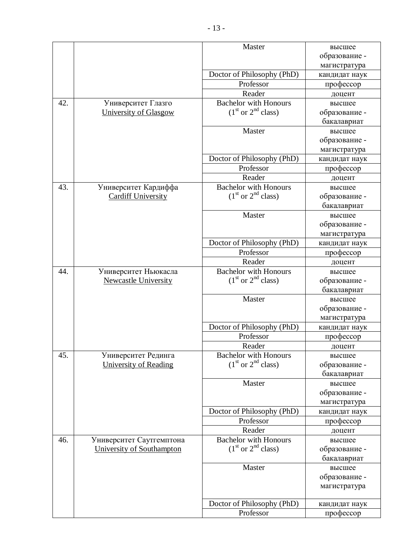|     |                             | Master                       | высшее        |
|-----|-----------------------------|------------------------------|---------------|
|     |                             |                              | образование - |
|     |                             |                              | магистратура  |
|     |                             | Doctor of Philosophy (PhD)   | кандидат наук |
|     |                             | Professor                    | профессор     |
|     |                             | Reader                       | доцент        |
| 42. | Университет Глазго          | <b>Bachelor with Honours</b> | высшее        |
|     | University of Glasgow       | $(1st or 2nd class)$         | образование - |
|     |                             |                              | бакалавриат   |
|     |                             | Master                       | высшее        |
|     |                             |                              | образование - |
|     |                             |                              | магистратура  |
|     |                             | Doctor of Philosophy (PhD)   | кандидат наук |
|     |                             | Professor                    | профессор     |
|     |                             | Reader                       | доцент        |
| 43. | Университет Кардиффа        | <b>Bachelor with Honours</b> | высшее        |
|     | <b>Cardiff University</b>   | $(1st or 2nd class)$         | образование - |
|     |                             |                              | бакалавриат   |
|     |                             | Master                       | высшее        |
|     |                             |                              | образование - |
|     |                             |                              | магистратура  |
|     |                             | Doctor of Philosophy (PhD)   | кандидат наук |
|     |                             | Professor                    | профессор     |
|     |                             | Reader                       | доцент        |
| 44. | Университет Ньюкасла        | <b>Bachelor with Honours</b> | высшее        |
|     | <b>Newcastle University</b> | $(1st or 2nd class)$         | образование - |
|     |                             |                              | бакалавриат   |
|     |                             | Master                       | высшее        |
|     |                             |                              | образование - |
|     |                             |                              | магистратура  |
|     |                             | Doctor of Philosophy (PhD)   | кандидат наук |
|     |                             | Professor                    | профессор     |
|     |                             | Reader                       | доцент        |
| 45. | Университет Рединга         | <b>Bachelor with Honours</b> | высшее        |
|     | University of Reading       | $(1st or 2nd class)$         | образование - |
|     |                             |                              | бакалавриат   |
|     |                             | Master                       | высшее        |
|     |                             |                              | образование - |
|     |                             |                              | магистратура  |
|     |                             | Doctor of Philosophy (PhD)   | кандидат наук |
|     |                             | Professor                    | профессор     |
|     |                             | Reader                       | доцент        |
| 46. | Университет Саутгемптона    | <b>Bachelor with Honours</b> | высшее        |
|     | University of Southampton   | $(1st or 2nd class)$         | образование - |
|     |                             |                              | бакалавриат   |
|     |                             | Master                       | высшее        |
|     |                             |                              | образование - |
|     |                             |                              | магистратура  |
|     |                             |                              |               |
|     |                             | Doctor of Philosophy (PhD)   | кандидат наук |
|     |                             | Professor                    | профессор     |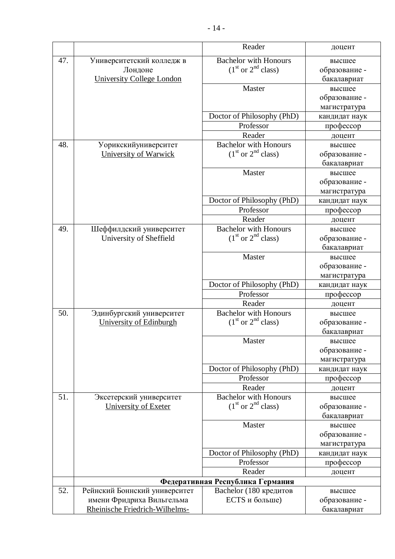|     |                                  | Reader                                                     | доцент        |
|-----|----------------------------------|------------------------------------------------------------|---------------|
| 47. | Университетский колледж в        | <b>Bachelor with Honours</b>                               | высшее        |
|     | Лондоне                          | $(1st or 2nd class)$                                       | образование - |
|     | <b>University College London</b> |                                                            | бакалавриат   |
|     |                                  | Master                                                     | высшее        |
|     |                                  |                                                            | образование - |
|     |                                  |                                                            | магистратура  |
|     |                                  | Doctor of Philosophy (PhD)                                 | кандидат наук |
|     |                                  | Professor                                                  | профессор     |
|     |                                  | Reader                                                     | доцент        |
| 48. | Уорикскийуниверситет             | <b>Bachelor with Honours</b>                               | высшее        |
|     | University of Warwick            | $(1st or 2nd class)$                                       | образование - |
|     |                                  |                                                            | бакалавриат   |
|     |                                  | Master                                                     | высшее        |
|     |                                  |                                                            | образование - |
|     |                                  |                                                            | магистратура  |
|     |                                  | Doctor of Philosophy (PhD)                                 | кандидат наук |
|     |                                  | Professor                                                  | профессор     |
|     |                                  | Reader                                                     | доцент        |
| 49. | Шеффилдский университет          | <b>Bachelor with Honours</b>                               | высшее        |
|     | University of Sheffield          | $(1st or 2nd class)$                                       | образование - |
|     |                                  |                                                            | бакалавриат   |
|     |                                  | Master                                                     | высшее        |
|     |                                  |                                                            | образование - |
|     |                                  |                                                            | магистратура  |
|     |                                  | Doctor of Philosophy (PhD)                                 | кандидат наук |
|     |                                  | Professor                                                  | профессор     |
|     |                                  | Reader                                                     | доцент        |
| 50. | Эдинбургский университет         | <b>Bachelor with Honours</b>                               | высшее        |
|     | University of Edinburgh          | $(1st or 2nd class)$                                       | образование - |
|     |                                  |                                                            | бакалавриат   |
|     |                                  | Master                                                     | высшее        |
|     |                                  |                                                            | образование - |
|     |                                  |                                                            | магистратура  |
|     |                                  | Doctor of Philosophy (PhD)                                 | кандидат наук |
|     |                                  | Professor                                                  | профессор     |
|     |                                  | Reader                                                     | доцент        |
| 51. | Эксетерский университет          | <b>Bachelor with Honours</b>                               | высшее        |
|     | University of Exeter             | $(1st or 2nd class)$                                       | образование - |
|     |                                  |                                                            | бакалавриат   |
|     |                                  | Master                                                     | высшее        |
|     |                                  |                                                            | образование - |
|     |                                  |                                                            | магистратура  |
|     |                                  | Doctor of Philosophy (PhD)<br>Professor                    | кандидат наук |
|     |                                  | Reader                                                     | профессор     |
|     |                                  |                                                            | доцент        |
| 52. |                                  | Федеративная Республика Германия<br>Bachelor (180 кредитов |               |
|     | Рейнский Боннский университет    | ECTS и больше)                                             | высшее        |
|     | имени Фридриха Вильгельма        |                                                            | образование - |
|     | Rheinische Friedrich-Wilhelms-   |                                                            | бакалавриат   |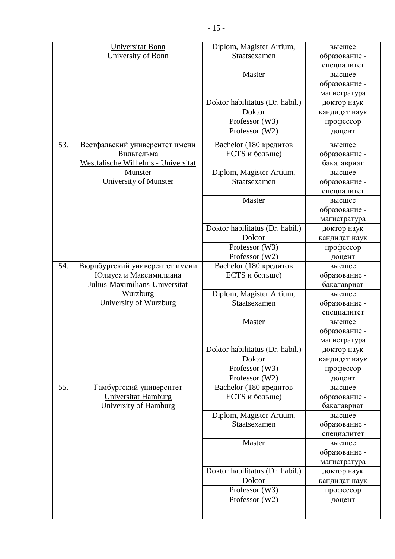|     | <b>Universitat Bonn</b>             | Diplom, Magister Artium,                 | высшее        |
|-----|-------------------------------------|------------------------------------------|---------------|
|     | University of Bonn                  | Staatsexamen                             | образование - |
|     |                                     |                                          | специалитет   |
|     |                                     | Master                                   | высшее        |
|     |                                     |                                          | образование - |
|     |                                     |                                          | магистратура  |
|     |                                     | Doktor habilitatus (Dr. habil.)          | доктор наук   |
|     |                                     | Doktor                                   | кандидат наук |
|     |                                     | Professor (W3)                           | профессор     |
|     |                                     | Professor (W2)                           | доцент        |
| 53. | Вестфальский университет имени      | Bachelor (180 кредитов                   | высшее        |
|     | Вильгельма                          | ECTS и больше)                           | образование - |
|     | Westfalische Wilhelms - Universitat |                                          | бакалавриат   |
|     | <b>Munster</b>                      | Diplom, Magister Artium,                 | высшее        |
|     | University of Munster               | Staatsexamen                             | образование - |
|     |                                     |                                          | специалитет   |
|     |                                     | Master                                   | высшее        |
|     |                                     |                                          | образование - |
|     |                                     |                                          | магистратура  |
|     |                                     | Doktor habilitatus (Dr. habil.)          | доктор наук   |
|     |                                     | Doktor                                   | кандидат наук |
|     |                                     | Professor (W3)                           | профессор     |
|     |                                     | Professor (W2)                           | доцент        |
| 54. | Вюрцбургский университет имени      | Bachelor (180 кредитов                   | высшее        |
|     | Юлиуса и Максимилиана               | ECTS и больше)                           | образование - |
|     | Julius-Maximilians-Universitat      |                                          | бакалавриат   |
|     | <b>Wurzburg</b>                     | Diplom, Magister Artium,                 | высшее        |
|     | University of Wurzburg              | Staatsexamen                             | образование - |
|     |                                     |                                          | специалитет   |
|     |                                     | Master                                   | высшее        |
|     |                                     |                                          | образование - |
|     |                                     |                                          | магистратура  |
|     |                                     | Doktor habilitatus (Dr. habil.)          | доктор наук   |
|     |                                     | Doktor                                   | кандидат наук |
|     |                                     | Professor (W3)                           | профессор     |
|     |                                     | Professor (W2)                           | доцент        |
| 55. | Гамбургский университет             | Bachelor (180 кредитов<br>ECTS и больше) | высшее        |
|     | <b>Universitat Hamburg</b>          |                                          | образование - |
|     | University of Hamburg               |                                          | бакалавриат   |
|     |                                     | Diplom, Magister Artium,<br>Staatsexamen | высшее        |
|     |                                     |                                          | образование - |
|     |                                     | Master                                   | специалитет   |
|     |                                     |                                          | высшее        |
|     |                                     |                                          | образование - |
|     |                                     |                                          | магистратура  |
|     |                                     | Doktor habilitatus (Dr. habil.)          | доктор наук   |
|     |                                     | Doktor                                   | кандидат наук |
|     |                                     | Professor (W3)                           | профессор     |
|     |                                     | Professor (W2)                           | доцент        |
|     |                                     |                                          |               |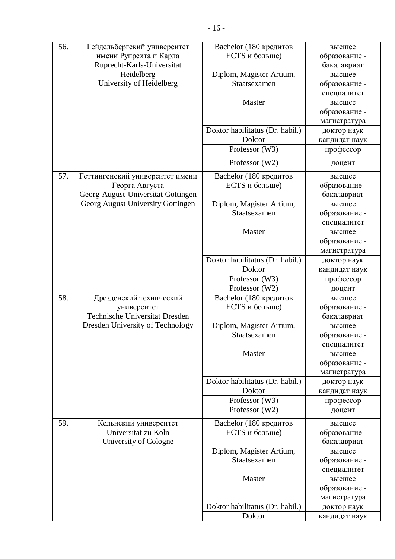| 56. | Гейдельбергский университет           | Bachelor (180 кредитов          | высшее        |
|-----|---------------------------------------|---------------------------------|---------------|
|     | имени Рупрехта и Карла                | ECTS и больше)                  | образование - |
|     | Ruprecht-Karls-Universitat            |                                 | бакалавриат   |
|     | Heidelberg                            | Diplom, Magister Artium,        | высшее        |
|     | University of Heidelberg              | Staatsexamen                    | образование - |
|     |                                       |                                 | специалитет   |
|     |                                       | Master                          | высшее        |
|     |                                       |                                 | образование - |
|     |                                       |                                 | магистратура  |
|     |                                       | Doktor habilitatus (Dr. habil.) | доктор наук   |
|     |                                       | Doktor                          | кандидат наук |
|     |                                       | Professor (W3)                  | профессор     |
|     |                                       | Professor (W2)                  | доцент        |
| 57. | Геттингенский университет имени       | Bachelor (180 кредитов          | высшее        |
|     | Георга Августа                        | ECTS и больше)                  | образование - |
|     | Georg-August-Universitat Gottingen    |                                 | бакалавриат   |
|     | Georg August University Gottingen     | Diplom, Magister Artium,        | высшее        |
|     |                                       | Staatsexamen                    | образование - |
|     |                                       |                                 | специалитет   |
|     |                                       | Master                          | высшее        |
|     |                                       |                                 | образование - |
|     |                                       |                                 | магистратура  |
|     |                                       | Doktor habilitatus (Dr. habil.) | доктор наук   |
|     |                                       | Doktor                          | кандидат наук |
|     |                                       | Professor (W3)                  | профессор     |
|     |                                       | Professor (W2)                  | доцент        |
| 58. | Дрезденский технический               | Bachelor (180 кредитов          | высшее        |
|     | университет                           | ECTS и больше)                  | образование - |
|     | <b>Technische Universitat Dresden</b> |                                 | бакалавриат   |
|     | Dresden University of Technology      | Diplom, Magister Artium,        | высшее        |
|     |                                       | Staatsexamen                    | образование - |
|     |                                       |                                 | специалитет   |
|     |                                       | Master                          | высшее        |
|     |                                       |                                 | образование - |
|     |                                       |                                 | магистратура  |
|     |                                       | Doktor habilitatus (Dr. habil.) | доктор наук   |
|     |                                       | Doktor                          | кандидат наук |
|     |                                       | Professor (W3)                  | профессор     |
|     |                                       | Professor (W2)                  | доцент        |
| 59. | Кельнский университет                 | Bachelor (180 кредитов          | высшее        |
|     | Universitat zu Koln                   | ECTS и больше)                  | образование - |
|     | University of Cologne                 |                                 | бакалавриат   |
|     |                                       | Diplom, Magister Artium,        | высшее        |
|     |                                       | Staatsexamen                    | образование - |
|     |                                       |                                 | специалитет   |
|     |                                       | Master                          | высшее        |
|     |                                       |                                 | образование - |
|     |                                       |                                 | магистратура  |
|     |                                       | Doktor habilitatus (Dr. habil.) | доктор наук   |
|     |                                       | Doktor                          | кандидат наук |
|     |                                       |                                 |               |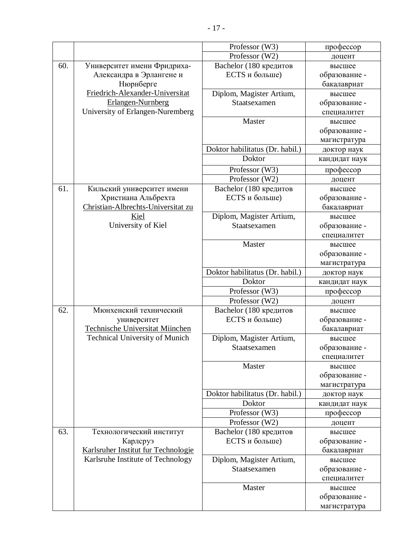|                   |                                       | Professor (W3)                  | профессор     |
|-------------------|---------------------------------------|---------------------------------|---------------|
|                   |                                       | Professor (W2)                  | доцент        |
| 60.               | Университет имени Фридриха-           | Bachelor (180 кредитов          | высшее        |
|                   | Александра в Эрлангене и              | ECTS и больше)                  | образование - |
|                   | Нюрнберге                             |                                 | бакалавриат   |
|                   | Friedrich-Alexander-Universitat       | Diplom, Magister Artium,        | высшее        |
|                   | Erlangen-Nurnberg                     | Staatsexamen                    | образование - |
|                   | University of Erlangen-Nuremberg      |                                 | специалитет   |
|                   |                                       | Master                          | высшее        |
|                   |                                       |                                 | образование - |
|                   |                                       |                                 | магистратура  |
|                   |                                       | Doktor habilitatus (Dr. habil.) | доктор наук   |
|                   |                                       | Doktor                          | кандидат наук |
|                   |                                       | Professor (W3)                  | профессор     |
|                   |                                       | Professor (W2)                  | доцент        |
| 61.               | Кильский университет имени            | Bachelor (180 кредитов          | высшее        |
|                   | Христиана Альбрехта                   | ECTS и больше)                  | образование - |
|                   | Christian-Albrechts-Universitat zu    |                                 | бакалавриат   |
|                   | Kiel                                  | Diplom, Magister Artium,        | высшее        |
|                   | University of Kiel                    | Staatsexamen                    | образование - |
|                   |                                       |                                 | специалитет   |
|                   |                                       | Master                          | высшее        |
|                   |                                       |                                 | образование - |
|                   |                                       |                                 | магистратура  |
|                   |                                       | Doktor habilitatus (Dr. habil.) | доктор наук   |
|                   |                                       | Doktor                          | кандидат наук |
|                   |                                       | Professor (W3)                  | профессор     |
|                   |                                       | Professor (W2)                  | доцент        |
| $\overline{62}$ . | Мюнхенский технический                | Bachelor (180 кредитов          | высшее        |
|                   | университет                           | ECTS и больше)                  | образование - |
|                   | Technische Universitat Miinchen       |                                 | бакалавриат   |
|                   | <b>Technical University of Munich</b> | Diplom, Magister Artium,        | высшее        |
|                   |                                       | Staatsexamen                    | образование - |
|                   |                                       |                                 | специалитет   |
|                   |                                       | Master                          | высшее        |
|                   |                                       |                                 | образование - |
|                   |                                       |                                 | магистратура  |
|                   |                                       | Doktor habilitatus (Dr. habil.) | доктор наук   |
|                   |                                       | Doktor                          | кандидат наук |
|                   |                                       | Professor (W3)                  | профессор     |
|                   |                                       | Professor (W2)                  | доцент        |
| 63.               | Технологический институт              | Bachelor (180 кредитов          | высшее        |
|                   | Карлсруэ                              | ECTS и больше)                  | образование - |
|                   | Karlsruher Institut fur Technologie   |                                 | бакалавриат   |
|                   | Karlsruhe Institute of Technology     | Diplom, Magister Artium,        | высшее        |

Staatsexamen

образование специалитет

образование магистратура

Master **BEICHIEF**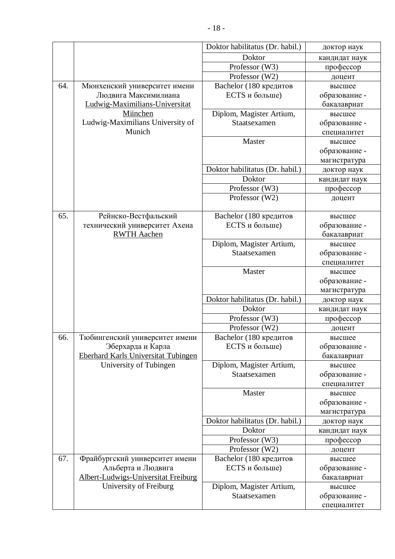|     |                                            | Doktor habilitatus (Dr. habil.)          | доктор наук             |
|-----|--------------------------------------------|------------------------------------------|-------------------------|
|     |                                            | Doktor                                   | кандидат наук           |
|     |                                            | Professor (W3)                           | профессор               |
|     |                                            | Professor (W2)                           | доцент                  |
| 64. | Мюнхенский университет имени               | Bachelor (180 кредитов                   | высшее                  |
|     | Людвига Максимилиана                       | ECTS и больше)                           | образование -           |
|     | Ludwig-Maximilians-Universitat             |                                          | бакалавриат             |
|     | Miinchen                                   | Diplom, Magister Artium,                 | высшее                  |
|     | Ludwig-Maximilians University of           | Staatsexamen                             | образование -           |
|     | Munich                                     |                                          | специалитет             |
|     |                                            | Master                                   | высшее                  |
|     |                                            |                                          | образование -           |
|     |                                            |                                          | магистратура            |
|     |                                            | Doktor habilitatus (Dr. habil.)          | доктор наук             |
|     |                                            | Doktor                                   | кандидат наук           |
|     |                                            | Professor (W3)                           | профессор               |
|     |                                            | Professor (W2)                           | доцент                  |
|     |                                            |                                          |                         |
| 65. | Рейнско-Вестфальский                       | Bachelor (180 кредитов                   | высшее                  |
|     | технический университет Ахена              | ECTS и больше)                           | образование -           |
|     | <b>RWTH Aachen</b>                         |                                          | бакалавриат             |
|     |                                            | Diplom, Magister Artium,<br>Staatsexamen | высшее                  |
|     |                                            |                                          | образование -           |
|     |                                            | Master                                   | специалитет             |
|     |                                            |                                          | высшее<br>образование - |
|     |                                            |                                          | магистратура            |
|     |                                            | Doktor habilitatus (Dr. habil.)          | доктор наук             |
|     |                                            | Doktor                                   | кандидат наук           |
|     |                                            | Professor (W3)                           | профессор               |
|     |                                            | Professor (W2)                           | доцент                  |
| 66. | Тюбингенский университет имени             | Bachelor (180 кредитов                   | высшее                  |
|     | Эберхарда и Карла                          | ECTS и больше)                           | образование -           |
|     | <b>Eberhard Karls Universitat Tubingen</b> |                                          | бакалавриат             |
|     | University of Tubingen                     | Diplom, Magister Artium,                 | высшее                  |
|     |                                            | Staatsexamen                             | образование -           |
|     |                                            |                                          | специалитет             |
|     |                                            | Master                                   | высшее                  |
|     |                                            |                                          | образование -           |
|     |                                            |                                          | магистратура            |
|     |                                            | Doktor habilitatus (Dr. habil.)          | доктор наук             |
|     |                                            | Doktor                                   | кандидат наук           |
|     |                                            | Professor (W3)                           | профессор               |
|     |                                            | Professor (W2)                           | доцент                  |
| 67. | Фрайбургский университет имени             | Bachelor (180 кредитов                   | высшее                  |
|     | Альберта и Людвига                         | ECTS и больше)                           | образование -           |
|     | Albert-Ludwigs-Universitat Freiburg        |                                          | бакалавриат             |
|     | University of Freiburg                     | Diplom, Magister Artium,                 | высшее                  |
|     |                                            | Staatsexamen                             | образование -           |
|     |                                            |                                          | специалитет             |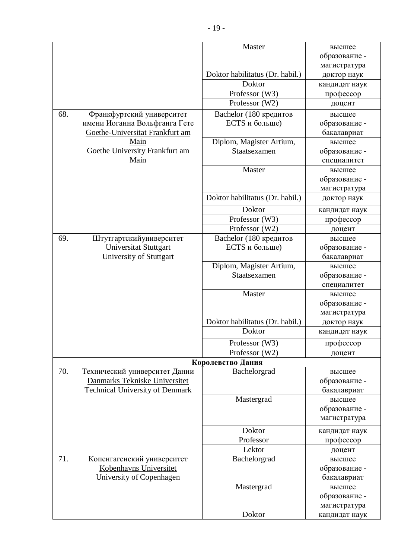|     |                                        | Master                          | высшее                       |
|-----|----------------------------------------|---------------------------------|------------------------------|
|     |                                        |                                 | образование -                |
|     |                                        |                                 | магистратура                 |
|     |                                        | Doktor habilitatus (Dr. habil.) | доктор наук                  |
|     |                                        | Doktor                          | кандидат наук                |
|     |                                        | Professor (W3)                  | профессор                    |
|     |                                        | Professor (W2)                  | доцент                       |
| 68. | Франкфуртский университет              | Bachelor (180 кредитов          | высшее                       |
|     | имени Иоганна Вольфганга Гете          | ECTS и больше)                  | образование -                |
|     | Goethe-Universitat Frankfurt am        |                                 | бакалавриат                  |
|     | Main                                   | Diplom, Magister Artium,        | высшее                       |
|     | Goethe University Frankfurt am         | Staatsexamen                    | образование -                |
|     | Main                                   |                                 | специалитет                  |
|     |                                        | Master                          | высшее                       |
|     |                                        |                                 | образование -                |
|     |                                        |                                 | магистратура                 |
|     |                                        | Doktor habilitatus (Dr. habil.) | доктор наук                  |
|     |                                        |                                 |                              |
|     |                                        | Doktor                          | кандидат наук                |
|     |                                        | Professor (W3)                  | профессор                    |
|     |                                        | Professor (W2)                  | доцент                       |
| 69. | Штутгартскийуниверситет                | Bachelor (180 кредитов          | высшее                       |
|     | <b>Universitat Stuttgart</b>           | ECTS и больше)                  | образование -                |
|     | University of Stuttgart                |                                 | бакалавриат                  |
|     |                                        | Diplom, Magister Artium,        | высшее                       |
|     |                                        | Staatsexamen                    | образование -                |
|     |                                        | Master                          | специалитет                  |
|     |                                        |                                 | высшее<br>образование -      |
|     |                                        |                                 | магистратура                 |
|     |                                        | Doktor habilitatus (Dr. habil.) |                              |
|     |                                        | Doktor                          | доктор наук<br>кандидат наук |
|     |                                        |                                 |                              |
|     |                                        | Professor (W3)                  | профессор                    |
|     |                                        | Professor (W2)                  | доцент                       |
|     |                                        | Королевство Дания               |                              |
| 70. | Технический университет Дании          | Bachelorgrad                    | высшее                       |
|     | Danmarks Tekniske Universitet          |                                 | образование -                |
|     | <b>Technical University of Denmark</b> |                                 | бакалавриат                  |
|     |                                        | Mastergrad                      | высшее                       |
|     |                                        |                                 | образование -                |
|     |                                        |                                 | магистратура                 |
|     |                                        | Doktor                          | кандидат наук                |
|     |                                        | Professor                       | профессор                    |
|     |                                        | Lektor                          | доцент                       |
| 71. | Копенгагенский университет             | Bachelorgrad                    | высшее                       |
|     | Kobenhavns Universitet                 |                                 | образование -                |
|     | University of Copenhagen               |                                 | бакалавриат                  |
|     |                                        | Mastergrad                      | высшее                       |
|     |                                        |                                 | образование -                |
|     |                                        |                                 | магистратура                 |
|     |                                        | Doktor                          | кандидат наук                |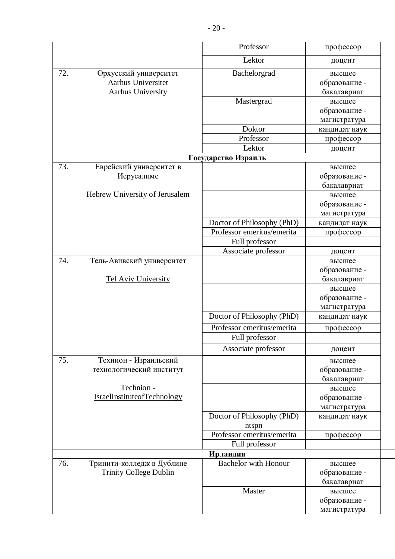|     |                                                    | Professor                             | профессор                    |
|-----|----------------------------------------------------|---------------------------------------|------------------------------|
|     |                                                    | Lektor                                | доцент                       |
| 72. | Орхусский университет<br><b>Aarhus Universitet</b> | Bachelorgrad                          | высшее<br>образование -      |
|     | <b>Aarhus University</b>                           |                                       | бакалавриат                  |
|     |                                                    | Mastergrad                            | высшее                       |
|     |                                                    |                                       | образование -                |
|     |                                                    |                                       | магистратура                 |
|     |                                                    | Doktor                                | кандидат наук                |
|     |                                                    | Professor                             | профессор                    |
|     |                                                    | Lektor                                | доцент                       |
|     |                                                    | Государство Израиль                   |                              |
| 73. | Еврейский университет в                            |                                       | высшее                       |
|     | Иерусалиме                                         |                                       | образование -                |
|     | <b>Hebrew University of Jerusalem</b>              |                                       | бакалавриат                  |
|     |                                                    |                                       | высшее                       |
|     |                                                    |                                       | образование -                |
|     |                                                    | Doctor of Philosophy (PhD)            | магистратура                 |
|     |                                                    | Professor emeritus/emerita            | кандидат наук                |
|     |                                                    |                                       | профессор                    |
|     |                                                    | Full professor<br>Associate professor |                              |
| 74. |                                                    |                                       | доцент                       |
|     | Тель-Авивский университет                          |                                       | высшее                       |
|     | <b>Tel Aviv University</b>                         |                                       | образование -<br>бакалавриат |
|     |                                                    |                                       | высшее                       |
|     |                                                    |                                       | образование -                |
|     |                                                    |                                       | магистратура                 |
|     |                                                    | Doctor of Philosophy (PhD)            | кандидат наук                |
|     |                                                    | Professor emeritus/emerita            | профессор                    |
|     |                                                    | Full professor                        |                              |
|     |                                                    | Associate professor                   | доцент                       |
| 75. | Технион - Израильский                              |                                       | высшее                       |
|     | технологический институт                           |                                       | образование -                |
|     |                                                    |                                       | бакалавриат                  |
|     | Technion -                                         |                                       | высшее                       |
|     | IsraelInstituteofTechnology                        |                                       | образование -                |
|     |                                                    |                                       | магистратура                 |
|     |                                                    | Doctor of Philosophy (PhD)<br>ntspn   | кандидат наук                |
|     |                                                    | Professor emeritus/emerita            | профессор                    |
|     |                                                    | Full professor                        |                              |
|     |                                                    | Ирландия                              |                              |
| 76. | Тринити-колледж в Дублине                          | <b>Bachelor</b> with Honour           | высшее                       |
|     | <b>Trinity College Dublin</b>                      |                                       | образование -                |
|     |                                                    |                                       | бакалавриат                  |
|     |                                                    | Master                                | высшее                       |
|     |                                                    |                                       | образование -                |
|     |                                                    |                                       | магистратура                 |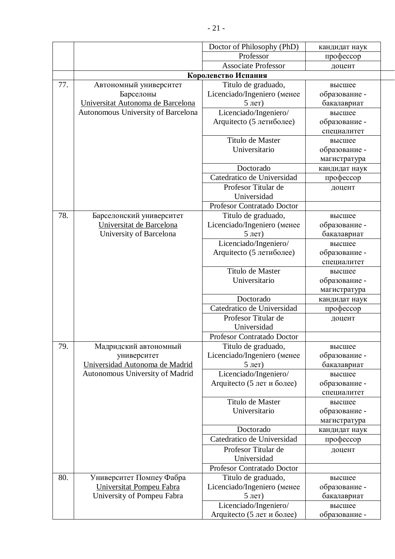|     |                                               | Doctor of Philosophy (PhD)                         | кандидат наук                |
|-----|-----------------------------------------------|----------------------------------------------------|------------------------------|
|     |                                               | Professor                                          | профессор                    |
|     |                                               | <b>Associate Professor</b>                         | доцент                       |
|     |                                               | Королевство Испания                                |                              |
| 77. | Автономный университет                        | Titulo de graduado,                                | высшее                       |
|     | Барселоны                                     | Licenciado/Ingeniero (менее                        | образование -                |
|     | Universitat Autonoma de Barcelona             |                                                    | бакалавриат                  |
|     | Autonomous University of Barcelona            | Licenciado/Ingeniero/                              | высшее                       |
|     |                                               | Arquitecto (5 летиболее)                           | образование -                |
|     |                                               |                                                    | специалитет                  |
|     |                                               | Titulo de Master                                   | высшее                       |
|     |                                               | Universitario                                      | образование -                |
|     |                                               |                                                    | магистратура                 |
|     |                                               | Doctorado                                          | кандидат наук                |
|     |                                               | Catedratico de Universidad                         | профессор                    |
|     |                                               | Profesor Titular de                                | доцент                       |
|     |                                               | Universidad                                        |                              |
|     |                                               | Profesor Contratado Doctor                         |                              |
| 78. | Барселонский университет                      | Titulo de graduado,                                | высшее                       |
|     | Universitat de Barcelona                      | Licenciado/Ingeniero (менее                        | образование -                |
|     | University of Barcelona                       |                                                    | бакалавриат                  |
|     |                                               | Licenciado/Ingeniero/                              | высшее                       |
|     |                                               | Arquitecto (5 летиболее)                           | образование -                |
|     |                                               |                                                    | специалитет                  |
|     |                                               | Titulo de Master                                   | высшее                       |
|     |                                               | Universitario                                      | образование -                |
|     |                                               |                                                    | магистратура                 |
|     |                                               | Doctorado                                          | кандидат наук                |
|     |                                               | Catedratico de Universidad                         | профессор                    |
|     |                                               | Profesor Titular de                                | доцент                       |
|     |                                               | Universidad                                        |                              |
|     |                                               | Profesor Contratado Doctor                         |                              |
| 79. | Мадридский автономный                         | Titulo de graduado,<br>Licenciado/Ingeniero (менее | высшее                       |
|     | университет<br>Universidad Autonoma de Madrid |                                                    | образование -<br>бакалавриат |
|     | Autonomous University of Madrid               | Licenciado/Ingeniero/                              | высшее                       |
|     |                                               | Arquitecto (5 лет и более)                         | образование -                |
|     |                                               |                                                    | специалитет                  |
|     |                                               | Titulo de Master                                   | высшее                       |
|     |                                               | Universitario                                      | образование -                |
|     |                                               |                                                    | магистратура                 |
|     |                                               | Doctorado                                          | кандидат наук                |
|     |                                               | Catedratico de Universidad                         | профессор                    |
|     |                                               | Profesor Titular de                                | доцент                       |
|     |                                               | Universidad                                        |                              |
|     |                                               | Profesor Contratado Doctor                         |                              |
| 80. | Университет Помпеу Фабра                      | Titulo de graduado,                                | высшее                       |
|     | Universitat Pompeu Fabra                      | Licenciado/Ingeniero (менее                        | образование -                |
|     | University of Pompeu Fabra                    |                                                    | бакалавриат                  |
|     |                                               | Licenciado/Ingeniero/                              | высшее                       |
|     |                                               | Arquitecto (5 лет и более)                         | образование -                |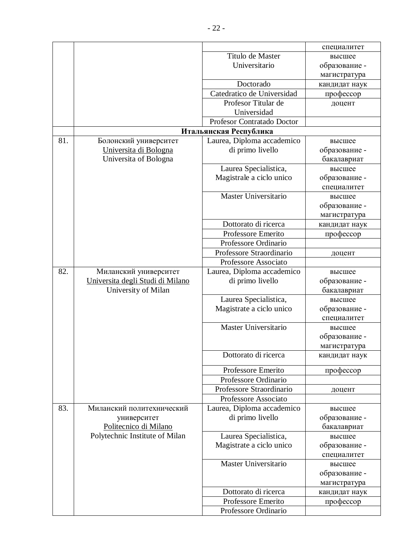|     |                                  |                             | специалитет   |
|-----|----------------------------------|-----------------------------|---------------|
|     |                                  | Titulo de Master            | высшее        |
|     |                                  | Universitario               | образование - |
|     |                                  |                             | магистратура  |
|     |                                  | Doctorado                   | кандидат наук |
|     |                                  | Catedratico de Universidad  | профессор     |
|     |                                  | Profesor Titular de         | доцент        |
|     |                                  | Universidad                 |               |
|     |                                  | Profesor Contratado Doctor  |               |
|     |                                  | Итальянская Республика      |               |
| 81. | Болонский университет            | Laurea, Diploma accademico  | высшее        |
|     | Universita di Bologna            | di primo livello            | образование - |
|     | Universita of Bologna            |                             | бакалавриат   |
|     |                                  | Laurea Specialistica,       | высшее        |
|     |                                  | Magistrale a ciclo unico    | образование - |
|     |                                  |                             | специалитет   |
|     |                                  | <b>Master Universitario</b> | высшее        |
|     |                                  |                             | образование - |
|     |                                  |                             | магистратура  |
|     |                                  | Dottorato di ricerca        | кандидат наук |
|     |                                  | Professore Emerito          | профессор     |
|     |                                  | Professore Ordinario        |               |
|     |                                  | Professore Straordinario    | доцент        |
|     |                                  | Professore Associato        |               |
| 82. | Миланский университет            | Laurea, Diploma accademico  | высшее        |
|     | Universita degli Studi di Milano | di primo livello            | образование - |
|     | University of Milan              |                             | бакалавриат   |
|     |                                  | Laurea Specialistica,       | высшее        |
|     |                                  | Magistrate a ciclo unico    | образование - |
|     |                                  |                             | специалитет   |
|     |                                  | Master Universitario        | высшее        |
|     |                                  |                             | образование - |
|     |                                  |                             | магистратура  |
|     |                                  | Dottorato di ricerca        | кандидат наук |
|     |                                  | Professore Emerito          | профессор     |
|     |                                  | Professore Ordinario        |               |
|     |                                  | Professore Straordinario    | доцент        |
|     |                                  | Professore Associato        |               |
| 83. | Миланский политехнический        | Laurea, Diploma accademico  | высшее        |
|     | университет                      | di primo livello            | образование - |
|     | Politecnico di Milano            |                             | бакалавриат   |
|     | Polytechnic Institute of Milan   | Laurea Specialistica,       | высшее        |
|     |                                  | Magistrate a ciclo unico    | образование - |
|     |                                  |                             | специалитет   |
|     |                                  | Master Universitario        | высшее        |
|     |                                  |                             | образование - |
|     |                                  |                             | магистратура  |
|     |                                  | Dottorato di ricerca        | кандидат наук |
|     |                                  | Professore Emerito          | профессор     |
|     |                                  | Professore Ordinario        |               |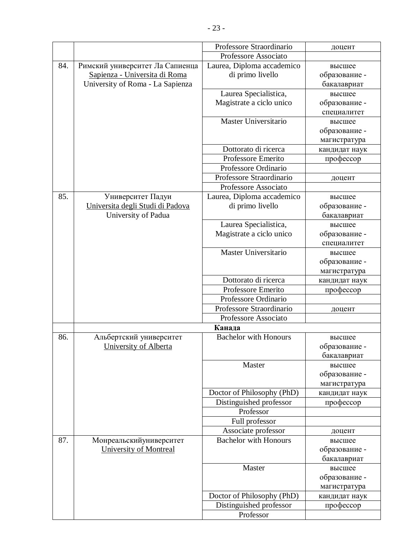|     |                                  | Professore Straordinario     | доцент        |
|-----|----------------------------------|------------------------------|---------------|
|     |                                  | Professore Associato         |               |
| 84. | Римский университет Ла Сапиенца  | Laurea, Diploma accademico   | высшее        |
|     | Sapienza - Universita di Roma    | di primo livello             | образование - |
|     | University of Roma - La Sapienza |                              | бакалавриат   |
|     |                                  | Laurea Specialistica,        | высшее        |
|     |                                  | Magistrate a ciclo unico     | образование - |
|     |                                  |                              | специалитет   |
|     |                                  | Master Universitario         | высшее        |
|     |                                  |                              | образование - |
|     |                                  |                              | магистратура  |
|     |                                  | Dottorato di ricerca         | кандидат наук |
|     |                                  | Professore Emerito           | профессор     |
|     |                                  | Professore Ordinario         |               |
|     |                                  | Professore Straordinario     | доцент        |
|     |                                  | Professore Associato         |               |
| 85. | Университет Падуи                | Laurea, Diploma accademico   | высшее        |
|     | Universita degli Studi di Padova | di primo livello             | образование - |
|     | University of Padua              |                              | бакалавриат   |
|     |                                  | Laurea Specialistica,        | высшее        |
|     |                                  | Magistrate a ciclo unico     | образование - |
|     |                                  |                              | специалитет   |
|     |                                  | Master Universitario         | высшее        |
|     |                                  |                              | образование - |
|     |                                  |                              | магистратура  |
|     |                                  | Dottorato di ricerca         | кандидат наук |
|     |                                  | Professore Emerito           | профессор     |
|     |                                  | Professore Ordinario         |               |
|     |                                  | Professore Straordinario     | доцент        |
|     |                                  | Professore Associato         |               |
|     |                                  | Канада                       |               |
| 86. | Альбертский университет          | <b>Bachelor with Honours</b> | высшее        |
|     | University of Alberta            |                              | образование - |
|     |                                  |                              | бакалавриат   |
|     |                                  | Master                       | высшее        |
|     |                                  |                              | образование - |
|     |                                  |                              | магистратура  |
|     |                                  | Doctor of Philosophy (PhD)   | кандидат наук |
|     |                                  | Distinguished professor      | профессор     |
|     |                                  | Professor                    |               |
|     |                                  | Full professor               |               |
|     |                                  | Associate professor          | доцент        |
| 87. | Монреальскийуниверситет          | <b>Bachelor with Honours</b> | высшее        |
|     | <b>University of Montreal</b>    |                              | образование - |
|     |                                  |                              | бакалавриат   |
|     |                                  | Master                       | высшее        |
|     |                                  |                              | образование - |
|     |                                  |                              | магистратура  |
|     |                                  | Doctor of Philosophy (PhD)   | кандидат наук |
|     |                                  | Distinguished professor      | профессор     |
|     |                                  | Professor                    |               |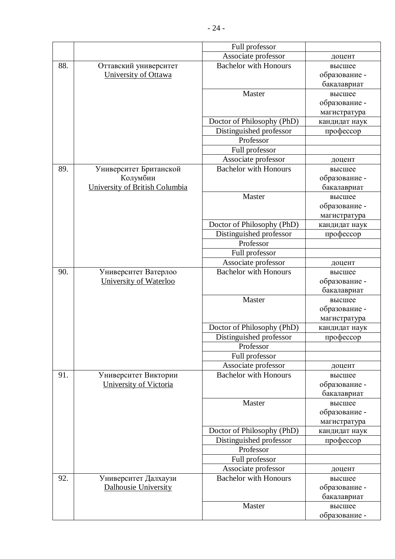|     |                                | Full professor               |               |
|-----|--------------------------------|------------------------------|---------------|
|     |                                | Associate professor          | доцент        |
| 88. | Оттавский университет          | <b>Bachelor with Honours</b> | высшее        |
|     | University of Ottawa           |                              | образование - |
|     |                                |                              | бакалавриат   |
|     |                                | Master                       | высшее        |
|     |                                |                              | образование - |
|     |                                |                              | магистратура  |
|     |                                | Doctor of Philosophy (PhD)   | кандидат наук |
|     |                                | Distinguished professor      | профессор     |
|     |                                | Professor                    |               |
|     |                                | Full professor               |               |
|     |                                | Associate professor          | доцент        |
| 89. | Университет Британской         | <b>Bachelor with Honours</b> | высшее        |
|     | Колумбии                       |                              | образование - |
|     | University of British Columbia |                              | бакалавриат   |
|     |                                | Master                       | высшее        |
|     |                                |                              | образование - |
|     |                                |                              | магистратура  |
|     |                                | Doctor of Philosophy (PhD)   | кандидат наук |
|     |                                | Distinguished professor      | профессор     |
|     |                                | Professor                    |               |
|     |                                | Full professor               |               |
|     |                                | Associate professor          | доцент        |
| 90. | Университет Ватерлоо           | <b>Bachelor</b> with Honours | высшее        |
|     | University of Waterloo         |                              | образование - |
|     |                                |                              | бакалавриат   |
|     |                                | Master                       | высшее        |
|     |                                |                              | образование - |
|     |                                |                              | магистратура  |
|     |                                | Doctor of Philosophy (PhD)   | кандидат наук |
|     |                                | Distinguished professor      | профессор     |
|     |                                | Professor                    |               |
|     |                                | Full professor               |               |
|     |                                | Associate professor          | доцент        |
| 91. | Университет Виктории           | <b>Bachelor with Honours</b> | высшее        |
|     | University of Victoria         |                              | образование - |
|     |                                |                              | бакалавриат   |
|     |                                | Master                       | высшее        |
|     |                                |                              | образование - |
|     |                                |                              | магистратура  |
|     |                                | Doctor of Philosophy (PhD)   | кандидат наук |
|     |                                | Distinguished professor      | профессор     |
|     |                                | Professor                    |               |
|     |                                | Full professor               |               |
|     |                                | Associate professor          | доцент        |
| 92. | Университет Далхаузи           | <b>Bachelor with Honours</b> | высшее        |
|     | Dalhousie University           |                              | образование - |
|     |                                |                              | бакалавриат   |
|     |                                | Master                       | высшее        |
|     |                                |                              | образование - |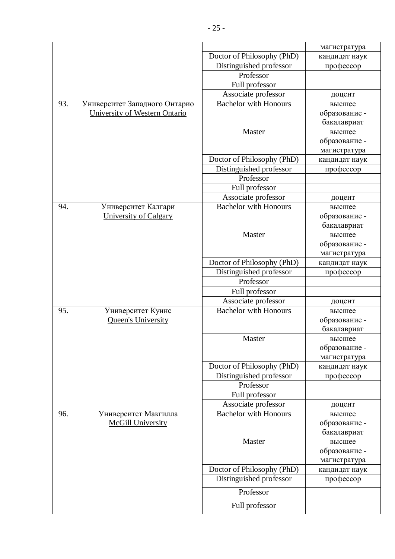|     |                               |                              | магистратура  |
|-----|-------------------------------|------------------------------|---------------|
|     |                               | Doctor of Philosophy (PhD)   | кандидат наук |
|     |                               | Distinguished professor      | профессор     |
|     |                               | Professor                    |               |
|     |                               | Full professor               |               |
|     |                               | Associate professor          | доцент        |
| 93. | Университет Западного Онтарио | <b>Bachelor with Honours</b> | высшее        |
|     | University of Western Ontario |                              | образование - |
|     |                               |                              | бакалавриат   |
|     |                               | Master                       | высшее        |
|     |                               |                              | образование - |
|     |                               |                              | магистратура  |
|     |                               | Doctor of Philosophy (PhD)   | кандидат наук |
|     |                               | Distinguished professor      | профессор     |
|     |                               | Professor                    |               |
|     |                               | Full professor               |               |
|     |                               | Associate professor          | доцент        |
| 94. | Университет Калгари           | <b>Bachelor with Honours</b> | высшее        |
|     | <b>University of Calgary</b>  |                              | образование - |
|     |                               |                              | бакалавриат   |
|     |                               | Master                       | высшее        |
|     |                               |                              | образование - |
|     |                               |                              | магистратура  |
|     |                               | Doctor of Philosophy (PhD)   | кандидат наук |
|     |                               | Distinguished professor      | профессор     |
|     |                               | Professor                    |               |
|     |                               | Full professor               |               |
|     |                               | Associate professor          | доцент        |
| 95. | Университет Куинс             | <b>Bachelor with Honours</b> | высшее        |
|     | Queen's University            |                              | образование - |
|     |                               |                              | бакалавриат   |
|     |                               | Master                       | высшее        |
|     |                               |                              | образование - |
|     |                               |                              | магистратура  |
|     |                               | Doctor of Philosophy (PhD)   | кандидат наук |
|     |                               | Distinguished professor      | профессор     |
|     |                               | Professor                    |               |
|     |                               | Full professor               |               |
|     |                               | Associate professor          | доцент        |
| 96. | Университет Макгилла          | <b>Bachelor with Honours</b> | высшее        |
|     | <b>McGill University</b>      |                              | образование - |
|     |                               |                              | бакалавриат   |
|     |                               | Master                       | высшее        |
|     |                               |                              | образование - |
|     |                               |                              | магистратура  |
|     |                               | Doctor of Philosophy (PhD)   | кандидат наук |
|     |                               | Distinguished professor      | профессор     |
|     |                               | Professor                    |               |
|     |                               | Full professor               |               |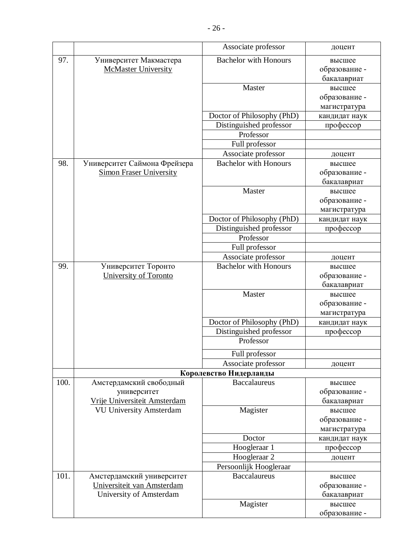|      |                                | Associate professor          | доцент        |
|------|--------------------------------|------------------------------|---------------|
| 97.  | Университет Макмастера         | <b>Bachelor with Honours</b> | высшее        |
|      | <b>McMaster University</b>     |                              | образование - |
|      |                                |                              | бакалавриат   |
|      |                                | Master                       | высшее        |
|      |                                |                              | образование - |
|      |                                |                              | магистратура  |
|      |                                | Doctor of Philosophy (PhD)   | кандидат наук |
|      |                                | Distinguished professor      | профессор     |
|      |                                | Professor                    |               |
|      |                                | Full professor               |               |
|      |                                | Associate professor          | доцент        |
| 98.  | Университет Саймона Фрейзера   | <b>Bachelor with Honours</b> | высшее        |
|      | <b>Simon Fraser University</b> |                              | образование - |
|      |                                |                              | бакалавриат   |
|      |                                | Master                       | высшее        |
|      |                                |                              | образование - |
|      |                                |                              | магистратура  |
|      |                                | Doctor of Philosophy (PhD)   | кандидат наук |
|      |                                | Distinguished professor      | профессор     |
|      |                                | Professor                    |               |
|      |                                | Full professor               |               |
|      |                                | Associate professor          | доцент        |
| 99.  | Университет Торонто            | <b>Bachelor with Honours</b> | высшее        |
|      | University of Toronto          |                              | образование - |
|      |                                |                              | бакалавриат   |
|      |                                | Master                       | высшее        |
|      |                                |                              | образование - |
|      |                                |                              | магистратура  |
|      |                                | Doctor of Philosophy (PhD)   | кандидат наук |
|      |                                | Distinguished professor      | профессор     |
|      |                                | Professor                    |               |
|      |                                | Full professor               |               |
|      |                                | Associate professor          | доцент        |
|      |                                | Королевство Нидерланды       |               |
| 100. | Амстердамский свободный        | <b>Baccalaureus</b>          | высшее        |
|      | университет                    |                              | образование - |
|      | Vrije Universiteit Amsterdam   |                              | бакалавриат   |
|      | <b>VU University Amsterdam</b> | Magister                     | высшее        |
|      |                                |                              | образование - |
|      |                                | Doctor                       | магистратура  |
|      |                                | Hoogleraar 1                 | кандидат наук |
|      |                                | Hoogleraar <sub>2</sub>      | профессор     |
|      |                                | Persoonlijk Hoogleraar       | доцент        |
| 101. | Амстердамский университет      | <b>Baccalaureus</b>          | высшее        |
|      | Universiteit van Amsterdam     |                              | образование - |
|      | University of Amsterdam        |                              | бакалавриат   |
|      |                                | Magister                     | высшее        |
|      |                                |                              | образование - |
|      |                                |                              |               |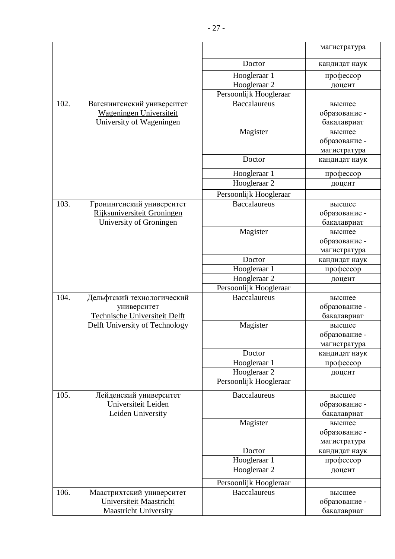|      |                                |                         | магистратура                  |
|------|--------------------------------|-------------------------|-------------------------------|
|      |                                |                         |                               |
|      |                                | Doctor                  | кандидат наук                 |
|      |                                | Hoogleraar 1            | профессор                     |
|      |                                | Hoogleraar <sub>2</sub> | доцент                        |
|      |                                | Persoonlijk Hoogleraar  |                               |
| 102. | Вагенингенский университет     | <b>Baccalaureus</b>     | высшее                        |
|      | Wageningen Universiteit        |                         | образование -                 |
|      | University of Wageningen       |                         | бакалавриат                   |
|      |                                | Magister                | высшее                        |
|      |                                |                         | образование -                 |
|      |                                | Doctor                  | магистратура<br>кандидат наук |
|      |                                |                         |                               |
|      |                                | Hoogleraar 1            | профессор                     |
|      |                                | Hoogleraar <sub>2</sub> | доцент                        |
|      |                                | Persoonlijk Hoogleraar  |                               |
| 103. | Гронингенский университет      | <b>Baccalaureus</b>     | высшее                        |
|      | Rijksuniversiteit Groningen    |                         | образование -                 |
|      | University of Groningen        |                         | бакалавриат                   |
|      |                                | Magister                | высшее                        |
|      |                                |                         | образование -                 |
|      |                                | Doctor                  | магистратура                  |
|      |                                | Hoogleraar 1            | кандидат наук<br>профессор    |
|      |                                | Hoogleraar <sub>2</sub> | доцент                        |
|      |                                | Persoonlijk Hoogleraar  |                               |
| 104. | Дельфтский технологический     | <b>Baccalaureus</b>     | высшее                        |
|      | университет                    |                         | образование -                 |
|      | Technische Universiteit Delft  |                         | бакалавриат                   |
|      | Delft University of Technology | Magister                | высшее                        |
|      |                                |                         | образование -                 |
|      |                                |                         | магистратура                  |
|      |                                | Doctor                  | кандидат наук                 |
|      |                                | Hoogleraar 1            | профессор                     |
|      |                                | Hoogleraar <sub>2</sub> | доцент                        |
|      |                                | Persoonlijk Hoogleraar  |                               |
| 105. | Лейденский университет         | <b>Baccalaureus</b>     | высшее                        |
|      | Universiteit Leiden            |                         | образование -                 |
|      | Leiden University              |                         | бакалавриат                   |
|      |                                | Magister                | высшее                        |
|      |                                |                         | образование -                 |
|      |                                |                         | магистратура                  |
|      |                                | Doctor                  | кандидат наук                 |
|      |                                | Hoogleraar 1            | профессор                     |
|      |                                | Hoogleraar 2            | доцент                        |
|      |                                | Persoonlijk Hoogleraar  |                               |
| 106. | Маастрихтский университет      | <b>Baccalaureus</b>     | высшее                        |
|      | Universiteit Maastricht        |                         | образование -                 |
|      | <b>Maastricht University</b>   |                         | бакалавриат                   |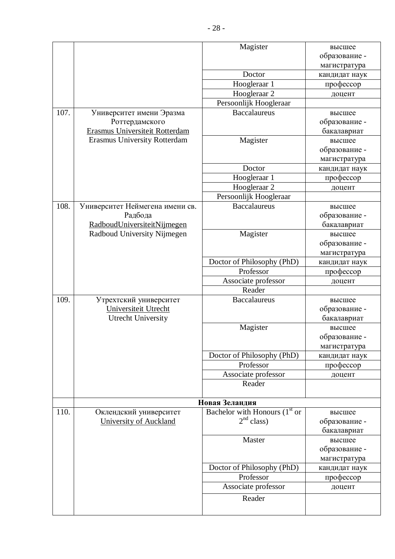|      |                                     | Magister                        | высшее        |
|------|-------------------------------------|---------------------------------|---------------|
|      |                                     |                                 | образование - |
|      |                                     |                                 | магистратура  |
|      |                                     | Doctor                          | кандидат наук |
|      |                                     | Hoogleraar 1                    | профессор     |
|      |                                     | Hoogleraar 2                    | доцент        |
|      |                                     | Persoonlijk Hoogleraar          |               |
| 107. | Университет имени Эразма            | <b>Baccalaureus</b>             | высшее        |
|      | Роттердамского                      |                                 | образование - |
|      | Erasmus Universiteit Rotterdam      |                                 | бакалавриат   |
|      | <b>Erasmus University Rotterdam</b> | Magister                        | высшее        |
|      |                                     |                                 | образование - |
|      |                                     |                                 | магистратура  |
|      |                                     | Doctor                          | кандидат наук |
|      |                                     | Hoogleraar 1                    | профессор     |
|      |                                     | Hoogleraar <sub>2</sub>         | доцент        |
|      |                                     | Persoonlijk Hoogleraar          |               |
| 108. | Университет Неймегена имени св.     | <b>Baccalaureus</b>             | высшее        |
|      | Радбода                             |                                 | образование - |
|      | RadboudUniversiteitNijmegen         |                                 | бакалавриат   |
|      | Radboud University Nijmegen         | Magister                        | высшее        |
|      |                                     |                                 | образование - |
|      |                                     |                                 | магистратура  |
|      |                                     | Doctor of Philosophy (PhD)      | кандидат наук |
|      |                                     | Professor                       | профессор     |
|      |                                     | Associate professor             | доцент        |
|      |                                     | Reader                          |               |
| 109. | Утрехтский университет              | <b>Baccalaureus</b>             | высшее        |
|      | Universiteit Utrecht                |                                 | образование - |
|      | <b>Utrecht University</b>           |                                 | бакалавриат   |
|      |                                     | Magister                        | высшее        |
|      |                                     |                                 | образование - |
|      |                                     |                                 | магистратура  |
|      |                                     | Doctor of Philosophy (PhD)      | кандидат наук |
|      |                                     | Professor                       | профессор     |
|      |                                     | Associate professor             | доцент        |
|      |                                     | Reader                          |               |
|      |                                     | Новая Зеландия                  |               |
| 110. | Оклендский университет              | Bachelor with Honours $(1st or$ | высшее        |
|      | <b>University of Auckland</b>       | 2 <sup>nd</sup> class           | образование - |
|      |                                     |                                 | бакалавриат   |
|      |                                     | Master                          | высшее        |
|      |                                     |                                 | образование - |
|      |                                     |                                 | магистратура  |
|      |                                     | Doctor of Philosophy (PhD)      | кандидат наук |
|      |                                     | Professor                       | профессор     |
|      |                                     | Associate professor             | доцент        |
|      |                                     | Reader                          |               |
|      |                                     |                                 |               |
|      |                                     |                                 |               |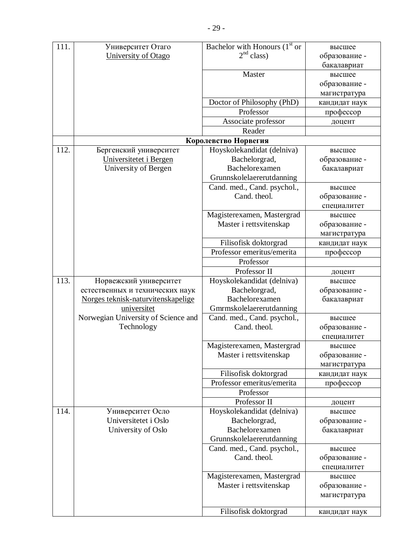| 111. | Университет Отаго                        | Bachelor with Honours $(1st$ or             | высшее                  |
|------|------------------------------------------|---------------------------------------------|-------------------------|
|      | University of Otago                      | 2 <sup>nd</sup> class                       | образование -           |
|      |                                          |                                             | бакалавриат             |
|      |                                          | Master                                      | высшее                  |
|      |                                          |                                             | образование -           |
|      |                                          |                                             | магистратура            |
|      |                                          | Doctor of Philosophy (PhD)                  | кандидат наук           |
|      |                                          | Professor                                   | профессор               |
|      |                                          | Associate professor                         | доцент                  |
|      |                                          | Reader                                      |                         |
|      |                                          | Королевство Норвегия                        |                         |
| 112. | Бергенский университет                   | Hoyskolekandidat (delniva)                  | высшее                  |
|      | Universitetet i Bergen                   | Bachelorgrad,                               | образование -           |
|      | University of Bergen                     | Bachelorexamen                              | бакалавриат             |
|      |                                          | Grunnskolelaererutdanning                   |                         |
|      |                                          | Cand. med., Cand. psychol.,                 | высшее                  |
|      |                                          | Cand. theol.                                | образование -           |
|      |                                          |                                             | специалитет             |
|      |                                          | Magisterexamen, Mastergrad                  | высшее                  |
|      |                                          | Master i rettsvitenskap                     | образование -           |
|      |                                          |                                             | магистратура            |
|      |                                          | Filisofisk doktorgrad                       | кандидат наук           |
|      |                                          | Professor emeritus/emerita                  | профессор               |
|      |                                          | Professor                                   |                         |
|      |                                          | Professor II                                | доцент                  |
| 113. | Норвежский университет                   | Hoyskolekandidat (delniva)                  | высшее                  |
|      | естественных и технических наук          | Bachelorgrad,                               | образование -           |
|      | Norges teknisk-naturvitenskapelige       | Bachelorexamen                              | бакалавриат             |
|      | universitet                              | Gmrmskolelaererutdanning                    |                         |
|      | Norwegian University of Science and      | Cand. med., Cand. psychol.,                 | высшее                  |
|      | Technology                               | Cand. theol.                                | образование -           |
|      |                                          |                                             | специалитет             |
|      |                                          | Magisterexamen, Mastergrad                  | высшее                  |
|      |                                          | Master i rettsvitenskap                     | образование -           |
|      |                                          |                                             | магистратура            |
|      |                                          | Filisofisk doktorgrad                       | кандидат наук           |
|      |                                          | Professor emeritus/emerita                  | профессор               |
|      |                                          | Professor                                   |                         |
| 114. |                                          | Professor II                                | доцент                  |
|      | Университет Осло<br>Universitetet i Oslo | Hoyskolekandidat (delniva)                  | высшее                  |
|      | University of Oslo                       | Bachelorgrad,<br>Bachelorexamen             | образование -           |
|      |                                          | Grunnskolelaererutdanning                   | бакалавриат             |
|      |                                          |                                             |                         |
|      |                                          | Cand. med., Cand. psychol.,<br>Cand. theol. | высшее<br>образование - |
|      |                                          |                                             |                         |
|      |                                          | Magisterexamen, Mastergrad                  | специалитет<br>высшее   |
|      |                                          | Master i rettsvitenskap                     | образование -           |
|      |                                          |                                             | магистратура            |
|      |                                          |                                             |                         |
|      |                                          | Filisofisk doktorgrad                       | кандидат наук           |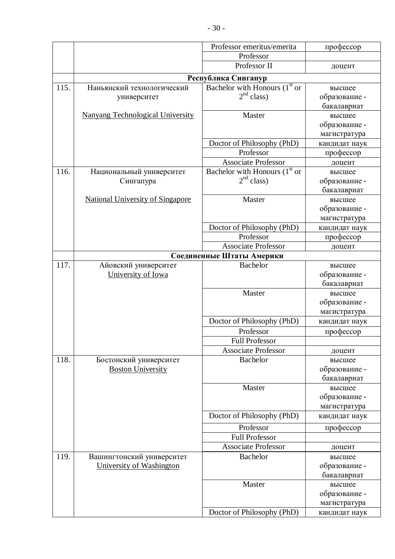|      |                                         | Professor emeritus/emerita                | профессор                  |
|------|-----------------------------------------|-------------------------------------------|----------------------------|
|      |                                         | Professor                                 |                            |
|      |                                         | Professor II                              | доцент                     |
|      |                                         | Республика Сингапур                       |                            |
| 115. | Наньянский технологический              | Bachelor with Honours $(1st$ or           | высшее                     |
|      | университет                             | 2 <sup>nd</sup> class                     | образование -              |
|      |                                         |                                           | бакалавриат                |
|      | <b>Nanyang Technological University</b> | Master                                    | высшее                     |
|      |                                         |                                           | образование -              |
|      |                                         |                                           | магистратура               |
|      |                                         | Doctor of Philosophy (PhD)                | кандидат наук              |
|      |                                         | Professor                                 | профессор                  |
|      |                                         | Associate Professor                       | доцент                     |
| 116. | Национальный университет                | Bachelor with Honours (1 <sup>st</sup> or | высшее                     |
|      | Сингапура                               | 2 <sup>nd</sup> class                     | образование -              |
|      |                                         |                                           | бакалавриат                |
|      | <b>National University of Singapore</b> | Master                                    | высшее                     |
|      |                                         |                                           | образование -              |
|      |                                         |                                           | магистратура               |
|      |                                         | Doctor of Philosophy (PhD)<br>Professor   | кандидат наук<br>профессор |
|      |                                         | <b>Associate Professor</b>                | доцент                     |
|      |                                         | Соединенные Штаты Америки                 |                            |
| 117. | Айовский университет                    | <b>Bachelor</b>                           | высшее                     |
|      | University of Iowa                      |                                           | образование -              |
|      |                                         |                                           | бакалавриат                |
|      |                                         | Master                                    | высшее                     |
|      |                                         |                                           | образование -              |
|      |                                         |                                           | магистратура               |
|      |                                         | Doctor of Philosophy (PhD)                | кандидат наук              |
|      |                                         | Professor                                 | профессор                  |
|      |                                         | <b>Full Professor</b>                     |                            |
|      |                                         | <b>Associate Professor</b>                | доцент                     |
| 118. | Бостонский университет                  | <b>Bachelor</b>                           | высшее                     |
|      | <b>Boston University</b>                |                                           | образование -              |
|      |                                         |                                           | бакалавриат                |
|      |                                         | Master                                    | высшее                     |
|      |                                         |                                           | образование -              |
|      |                                         |                                           | магистратура               |
|      |                                         | Doctor of Philosophy (PhD)                | кандидат наук              |
|      |                                         | Professor                                 | профессор                  |
|      |                                         | <b>Full Professor</b>                     |                            |
|      |                                         | <b>Associate Professor</b>                | доцент                     |
| 119. | Вашингтонский университет               | <b>Bachelor</b>                           | высшее                     |
|      | University of Washington                |                                           | образование -              |
|      |                                         |                                           | бакалавриат                |
|      |                                         | Master                                    | высшее                     |
|      |                                         |                                           | образование -              |
|      |                                         |                                           | магистратура               |
|      |                                         | Doctor of Philosophy (PhD)                | кандидат наук              |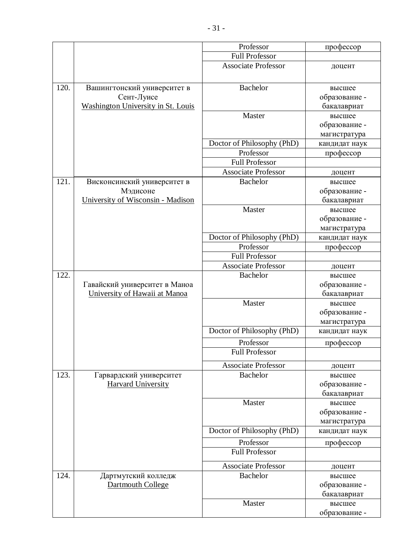|      |                                           | Professor                  | профессор     |
|------|-------------------------------------------|----------------------------|---------------|
|      |                                           | <b>Full Professor</b>      |               |
|      |                                           | <b>Associate Professor</b> | доцент        |
|      |                                           |                            |               |
| 120. | Вашингтонский университет в               | <b>Bachelor</b>            | высшее        |
|      | Сент-Луисе                                |                            | образование - |
|      | <b>Washington University in St. Louis</b> |                            | бакалавриат   |
|      |                                           | Master                     | высшее        |
|      |                                           |                            | образование - |
|      |                                           |                            | магистратура  |
|      |                                           | Doctor of Philosophy (PhD) | кандидат наук |
|      |                                           | Professor                  | профессор     |
|      |                                           | <b>Full Professor</b>      |               |
|      |                                           | <b>Associate Professor</b> | доцент        |
| 121. | Висконсинский университет в               | <b>Bachelor</b>            | высшее        |
|      | Мэдисоне                                  |                            | образование - |
|      | University of Wisconsin - Madison         |                            | бакалавриат   |
|      |                                           | Master                     | высшее        |
|      |                                           |                            | образование - |
|      |                                           |                            | магистратура  |
|      |                                           | Doctor of Philosophy (PhD) | кандидат наук |
|      |                                           | Professor                  | профессор     |
|      |                                           | <b>Full Professor</b>      |               |
|      |                                           | <b>Associate Professor</b> | доцент        |
| 122. |                                           | <b>Bachelor</b>            | высшее        |
|      | Гавайский университет в Маноа             |                            | образование - |
|      | University of Hawaii at Manoa             |                            | бакалавриат   |
|      |                                           | Master                     | высшее        |
|      |                                           |                            | образование - |
|      |                                           |                            | магистратура  |
|      |                                           | Doctor of Philosophy (PhD) | кандидат наук |
|      |                                           | Professor                  | профессор     |
|      |                                           | <b>Full Professor</b>      |               |
|      |                                           | <b>Associate Professor</b> | доцент        |
| 123. | Гарвардский университет                   | <b>Bachelor</b>            | высшее        |
|      | <b>Harvard University</b>                 |                            | образование - |
|      |                                           |                            | бакалавриат   |
|      |                                           | Master                     | высшее        |
|      |                                           |                            | образование - |
|      |                                           |                            | магистратура  |
|      |                                           | Doctor of Philosophy (PhD) | кандидат наук |
|      |                                           | Professor                  | профессор     |
|      |                                           | <b>Full Professor</b>      |               |
|      |                                           | <b>Associate Professor</b> | доцент        |
| 124. | Дартмутский колледж                       | <b>Bachelor</b>            | высшее        |
|      | Dartmouth College                         |                            | образование - |
|      |                                           |                            | бакалавриат   |
|      |                                           | Master                     | высшее        |
|      |                                           |                            | образование - |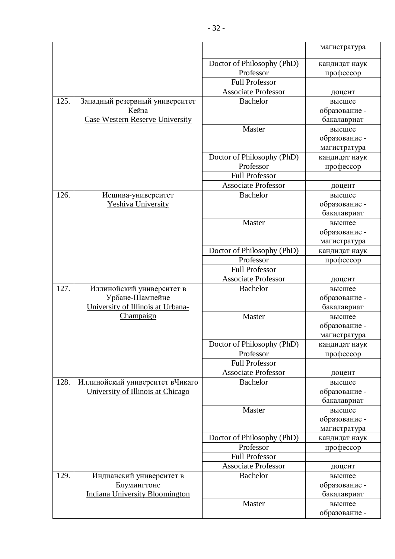|      |                                                      |                            | магистратура            |
|------|------------------------------------------------------|----------------------------|-------------------------|
|      |                                                      | Doctor of Philosophy (PhD) | кандидат наук           |
|      |                                                      | Professor                  | профессор               |
|      |                                                      | <b>Full Professor</b>      |                         |
|      |                                                      | <b>Associate Professor</b> | доцент                  |
| 125. | Западный резервный университет                       | <b>Bachelor</b>            | высшее                  |
|      | Кейза                                                |                            | образование -           |
|      | Case Western Reserve University                      |                            | бакалавриат             |
|      |                                                      | Master                     | высшее                  |
|      |                                                      |                            | образование -           |
|      |                                                      |                            | магистратура            |
|      |                                                      | Doctor of Philosophy (PhD) | кандидат наук           |
|      |                                                      | Professor                  | профессор               |
|      |                                                      | <b>Full Professor</b>      |                         |
|      |                                                      | <b>Associate Professor</b> | доцент                  |
| 126. | Иешива-университет                                   | <b>Bachelor</b>            | высшее                  |
|      | Yeshiva University                                   |                            | образование -           |
|      |                                                      |                            | бакалавриат             |
|      |                                                      | Master                     | высшее                  |
|      |                                                      |                            | образование -           |
|      |                                                      |                            | магистратура            |
|      |                                                      | Doctor of Philosophy (PhD) | кандидат наук           |
|      |                                                      | Professor                  | профессор               |
|      |                                                      | <b>Full Professor</b>      |                         |
|      |                                                      | <b>Associate Professor</b> | доцент                  |
| 127. | Иллинойский университет в                            | <b>Bachelor</b>            | высшее                  |
|      | Урбане-Шампейне<br>University of Illinois at Urbana- |                            | образование -           |
|      | Champaign                                            | Master                     | бакалавриат             |
|      |                                                      |                            | высшее<br>образование - |
|      |                                                      |                            | магистратура            |
|      |                                                      | Doctor of Philosophy (PhD) | кандидат наук           |
|      |                                                      | Professor                  | профессор               |
|      |                                                      | <b>Full Professor</b>      |                         |
|      |                                                      | <b>Associate Professor</b> | доцент                  |
| 128. | Иллинойский университет вЧикаго                      | <b>Bachelor</b>            | высшее                  |
|      | University of Illinois at Chicago                    |                            | образование -           |
|      |                                                      |                            | бакалавриат             |
|      |                                                      | Master                     | высшее                  |
|      |                                                      |                            | образование -           |
|      |                                                      |                            | магистратура            |
|      |                                                      | Doctor of Philosophy (PhD) | кандидат наук           |
|      |                                                      | Professor                  | профессор               |
|      |                                                      | <b>Full Professor</b>      |                         |
|      |                                                      | <b>Associate Professor</b> | доцент                  |
| 129. | Индианский университет в                             | Bachelor                   | высшее                  |
|      | Блумингтоне                                          |                            | образование -           |
|      | <b>Indiana University Bloomington</b>                |                            | бакалавриат             |
|      |                                                      | Master                     | высшее                  |
|      |                                                      |                            | образование -           |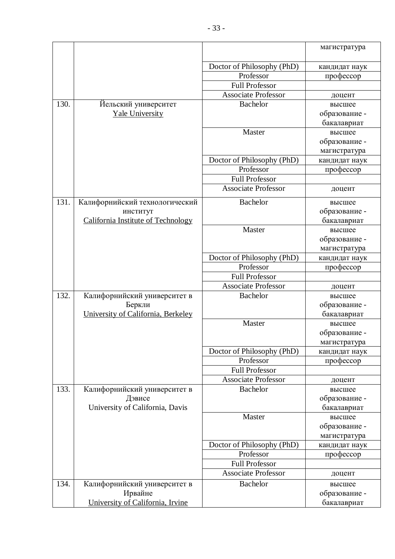|      |                                    |                            | магистратура            |
|------|------------------------------------|----------------------------|-------------------------|
|      |                                    | Doctor of Philosophy (PhD) | кандидат наук           |
|      |                                    | Professor                  | профессор               |
|      |                                    | <b>Full Professor</b>      |                         |
|      |                                    | <b>Associate Professor</b> | доцент                  |
| 130. | Йельский университет               | <b>Bachelor</b>            | высшее                  |
|      | <b>Yale University</b>             |                            | образование -           |
|      |                                    |                            | бакалавриат             |
|      |                                    | Master                     | высшее                  |
|      |                                    |                            | образование -           |
|      |                                    |                            | магистратура            |
|      |                                    | Doctor of Philosophy (PhD) | кандидат наук           |
|      |                                    | Professor                  | профессор               |
|      |                                    | <b>Full Professor</b>      |                         |
|      |                                    | <b>Associate Professor</b> | доцент                  |
| 131. | Калифорнийский технологический     | <b>Bachelor</b>            | высшее                  |
|      | институт                           |                            | образование -           |
|      | California Institute of Technology |                            | бакалавриат             |
|      |                                    | Master                     | высшее                  |
|      |                                    |                            | образование -           |
|      |                                    |                            | магистратура            |
|      |                                    | Doctor of Philosophy (PhD) | кандидат наук           |
|      |                                    | Professor                  | профессор               |
|      |                                    | <b>Full Professor</b>      |                         |
|      |                                    | <b>Associate Professor</b> | доцент                  |
| 132. | Калифорнийский университет в       | <b>Bachelor</b>            | высшее                  |
|      | Беркли                             |                            | образование -           |
|      | University of California, Berkeley | Master                     | бакалавриат             |
|      |                                    |                            | высшее<br>образование - |
|      |                                    |                            | магистратура            |
|      |                                    | Doctor of Philosophy (PhD) | кандидат наук           |
|      |                                    | Professor                  | профессор               |
|      |                                    | <b>Full Professor</b>      |                         |
|      |                                    | <b>Associate Professor</b> | доцент                  |
| 133. | Калифорнийский университет в       | Bachelor                   | высшее                  |
|      | Дэвисе                             |                            | образование -           |
|      | University of California, Davis    |                            | бакалавриат             |
|      |                                    | Master                     | высшее                  |
|      |                                    |                            | образование -           |
|      |                                    |                            | магистратура            |
|      |                                    | Doctor of Philosophy (PhD) | кандидат наук           |
|      |                                    | Professor                  | профессор               |
|      |                                    | <b>Full Professor</b>      |                         |
|      |                                    | <b>Associate Professor</b> | доцент                  |
| 134. | Калифорнийский университет в       | <b>Bachelor</b>            | высшее                  |
|      | Ирвайне                            |                            | образование -           |
|      | University of California, Irvine   |                            | бакалавриат             |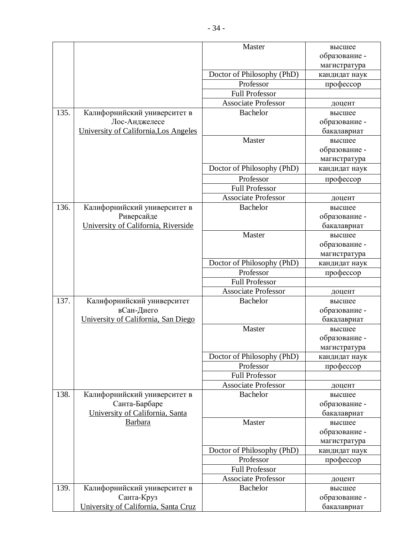|      |                                               | Master                     | высшее                       |
|------|-----------------------------------------------|----------------------------|------------------------------|
|      |                                               |                            | образование -                |
|      |                                               |                            | магистратура                 |
|      |                                               | Doctor of Philosophy (PhD) | кандидат наук                |
|      |                                               | Professor                  | профессор                    |
|      |                                               | <b>Full Professor</b>      |                              |
|      |                                               | <b>Associate Professor</b> | доцент                       |
| 135. | Калифорнийский университет в                  | <b>Bachelor</b>            | высшее                       |
|      | Лос-Анджелесе                                 |                            | образование -                |
|      | University of California, Los Angeles         |                            | бакалавриат                  |
|      |                                               | Master                     | высшее                       |
|      |                                               |                            | образование -                |
|      |                                               |                            | магистратура                 |
|      |                                               | Doctor of Philosophy (PhD) | кандидат наук                |
|      |                                               | Professor                  | профессор                    |
|      |                                               | <b>Full Professor</b>      |                              |
|      |                                               | <b>Associate Professor</b> | доцент                       |
| 136. | Калифорнийский университет в                  | <b>Bachelor</b>            | высшее                       |
|      | Риверсайде                                    |                            | образование -                |
|      | University of California, Riverside           |                            | бакалавриат                  |
|      |                                               | Master                     | высшее                       |
|      |                                               |                            | образование -                |
|      |                                               |                            | магистратура                 |
|      |                                               | Doctor of Philosophy (PhD) | кандидат наук                |
|      |                                               | Professor                  | профессор                    |
|      |                                               | <b>Full Professor</b>      |                              |
|      |                                               | <b>Associate Professor</b> | доцент                       |
| 137. | Калифорнийский университет                    | <b>Bachelor</b>            | высшее                       |
|      | вСан-Диего                                    |                            | образование -                |
|      | University of California, San Diego           |                            | бакалавриат                  |
|      |                                               | Master                     | высшее                       |
|      |                                               |                            | образование                  |
|      |                                               |                            | магистратура                 |
|      |                                               | Doctor of Philosophy (PhD) | кандидат наук                |
|      |                                               | Professor                  | профессор                    |
|      |                                               | <b>Full Professor</b>      |                              |
| 138. |                                               | <b>Associate Professor</b> | доцент                       |
|      | Калифорнийский университет в<br>Санта-Барбаре | <b>Bachelor</b>            | высшее                       |
|      | University of California, Santa               |                            | образование -<br>бакалавриат |
|      | Barbara                                       | Master                     | высшее                       |
|      |                                               |                            | образование -                |
|      |                                               |                            | магистратура                 |
|      |                                               | Doctor of Philosophy (PhD) | кандидат наук                |
|      |                                               | Professor                  | профессор                    |
|      |                                               | <b>Full Professor</b>      |                              |
|      |                                               | <b>Associate Professor</b> | доцент                       |
| 139. | Калифорнийский университет в                  | <b>Bachelor</b>            | высшее                       |
|      | Санта-Круз                                    |                            | образование -                |
|      | University of California, Santa Cruz          |                            | бакалавриат                  |
|      |                                               |                            |                              |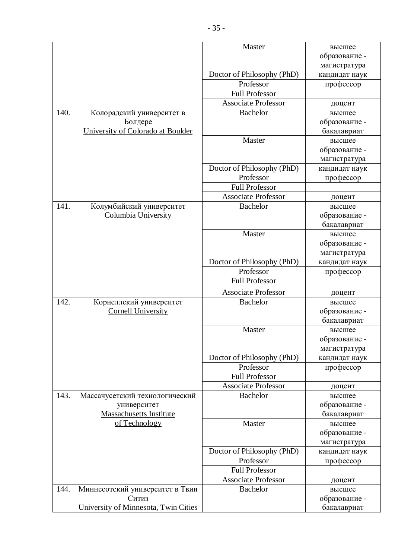|      |                                      | Master                     | высшее           |
|------|--------------------------------------|----------------------------|------------------|
|      |                                      |                            | образование -    |
|      |                                      |                            | магистратура     |
|      |                                      | Doctor of Philosophy (PhD) | кандидат наук    |
|      |                                      | Professor                  | профессор        |
|      |                                      | <b>Full Professor</b>      |                  |
|      |                                      | <b>Associate Professor</b> | доцент           |
| 140. | Колорадский университет в            | <b>Bachelor</b>            | высшее           |
|      | Болдере                              |                            | образование -    |
|      | University of Colorado at Boulder    |                            | бакалавриат      |
|      |                                      | Master                     | высшее           |
|      |                                      |                            | образование -    |
|      |                                      |                            | магистратура     |
|      |                                      | Doctor of Philosophy (PhD) | кандидат наук    |
|      |                                      | Professor                  | профессор        |
|      |                                      | <b>Full Professor</b>      |                  |
|      |                                      | <b>Associate Professor</b> | доцент           |
| 141. | Колумбийский университет             | <b>Bachelor</b>            | высшее           |
|      | Columbia University                  |                            | образование -    |
|      |                                      |                            | бакалавриат      |
|      |                                      | Master                     | высшее           |
|      |                                      |                            | образование -    |
|      |                                      |                            | магистратура     |
|      |                                      | Doctor of Philosophy (PhD) | кандидат наук    |
|      |                                      | Professor                  | профессор        |
|      |                                      | <b>Full Professor</b>      |                  |
|      |                                      | <b>Associate Professor</b> |                  |
| 142. | Корнеллский университет              | <b>Bachelor</b>            | доцент<br>высшее |
|      | <b>Cornell University</b>            |                            | образование -    |
|      |                                      |                            | бакалавриат      |
|      |                                      | Master                     | высшее           |
|      |                                      |                            | образование -    |
|      |                                      |                            | магистратура     |
|      |                                      | Doctor of Philosophy (PhD) | кандидат наук    |
|      |                                      | Professor                  | профессор        |
|      |                                      | <b>Full Professor</b>      |                  |
|      |                                      | <b>Associate Professor</b> | доцент           |
| 143. | Массачусетский технологический       | Bachelor                   | высшее           |
|      | университет                          |                            | образование -    |
|      | <b>Massachusetts Institute</b>       |                            | бакалавриат      |
|      | of Technology                        | Master                     | высшее           |
|      |                                      |                            | образование -    |
|      |                                      |                            | магистратура     |
|      |                                      | Doctor of Philosophy (PhD) | кандидат наук    |
|      |                                      | Professor                  | профессор        |
|      |                                      | <b>Full Professor</b>      |                  |
|      |                                      | <b>Associate Professor</b> |                  |
| 144. | Миннесотский университет в Твин      | Bachelor                   | доцент<br>высшее |
|      | Ситиз                                |                            | образование -    |
|      | University of Minnesota, Twin Cities |                            | бакалавриат      |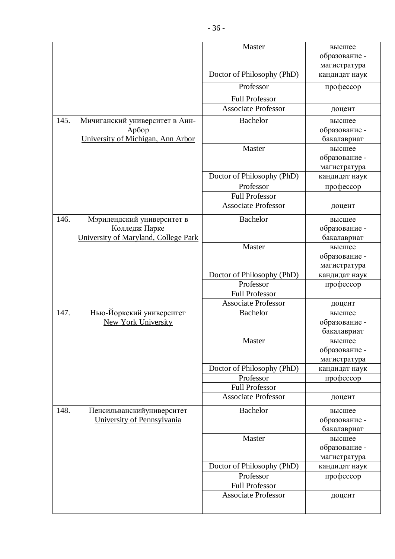|      |                                      | Master                     |               |
|------|--------------------------------------|----------------------------|---------------|
|      |                                      |                            | высшее        |
|      |                                      |                            | образование - |
|      |                                      |                            | магистратура  |
|      |                                      | Doctor of Philosophy (PhD) | кандидат наук |
|      |                                      | Professor                  | профессор     |
|      |                                      | <b>Full Professor</b>      |               |
|      |                                      | <b>Associate Professor</b> | доцент        |
| 145. | Мичиганский университет в Анн-       | Bachelor                   | высшее        |
|      | Арбор                                |                            | образование - |
|      | University of Michigan, Ann Arbor    |                            | бакалавриат   |
|      |                                      | Master                     | высшее        |
|      |                                      |                            | образование - |
|      |                                      |                            | магистратура  |
|      |                                      | Doctor of Philosophy (PhD) | кандидат наук |
|      |                                      | Professor                  | профессор     |
|      |                                      | <b>Full Professor</b>      |               |
|      |                                      | <b>Associate Professor</b> | доцент        |
| 146. | Мэрилендский университет в           | <b>Bachelor</b>            | высшее        |
|      | Колледж Парке                        |                            | образование - |
|      | University of Maryland, College Park |                            | бакалавриат   |
|      |                                      | Master                     | высшее        |
|      |                                      |                            | образование - |
|      |                                      |                            | магистратура  |
|      |                                      | Doctor of Philosophy (PhD) | кандидат наук |
|      |                                      | Professor                  | профессор     |
|      |                                      | <b>Full Professor</b>      |               |
|      |                                      | <b>Associate Professor</b> | доцент        |
| 147. | Нью-Йоркский университет             | <b>Bachelor</b>            | высшее        |
|      | <b>New York University</b>           |                            | образование - |
|      |                                      |                            | бакалавриат   |
|      |                                      | Master                     | высшее        |
|      |                                      |                            | образование - |
|      |                                      |                            | магистратура  |
|      |                                      | Doctor of Philosophy (PhD) | кандидат наук |
|      |                                      | Professor                  | профессор     |
|      |                                      | <b>Full Professor</b>      |               |
|      |                                      | <b>Associate Professor</b> | доцент        |
| 148. | Пенсильванский университет           | <b>Bachelor</b>            | высшее        |
|      | University of Pennsylvania           |                            | образование - |
|      |                                      |                            | бакалавриат   |
|      |                                      | Master                     | высшее        |
|      |                                      |                            | образование - |
|      |                                      |                            | магистратура  |
|      |                                      | Doctor of Philosophy (PhD) | кандидат наук |
|      |                                      | Professor                  | профессор     |
|      |                                      | <b>Full Professor</b>      |               |
|      |                                      | <b>Associate Professor</b> | доцент        |
|      |                                      |                            |               |
|      |                                      |                            |               |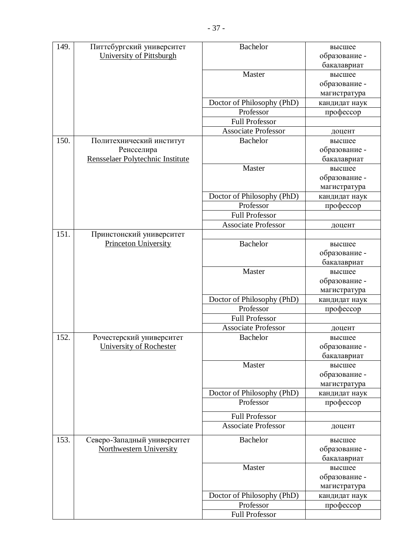| 149. | Питтсбургский университет        | <b>Bachelor</b>            | высшее        |
|------|----------------------------------|----------------------------|---------------|
|      | University of Pittsburgh         |                            | образование - |
|      |                                  |                            | бакалавриат   |
|      |                                  | Master                     | высшее        |
|      |                                  |                            | образование - |
|      |                                  |                            | магистратура  |
|      |                                  | Doctor of Philosophy (PhD) | кандидат наук |
|      |                                  | Professor                  | профессор     |
|      |                                  | <b>Full Professor</b>      |               |
|      |                                  | <b>Associate Professor</b> | доцент        |
| 150. | Политехнический институт         | <b>Bachelor</b>            | высшее        |
|      | Ренсселира                       |                            | образование - |
|      | Rensselaer Polytechnic Institute |                            | бакалавриат   |
|      |                                  | Master                     | высшее        |
|      |                                  |                            | образование - |
|      |                                  |                            | магистратура  |
|      |                                  | Doctor of Philosophy (PhD) | кандидат наук |
|      |                                  | Professor                  | профессор     |
|      |                                  | <b>Full Professor</b>      |               |
|      |                                  | <b>Associate Professor</b> | доцент        |
| 151. | Принстонский университет         |                            |               |
|      | <b>Princeton University</b>      | <b>Bachelor</b>            | высшее        |
|      |                                  |                            | образование - |
|      |                                  |                            | бакалавриат   |
|      |                                  | Master                     | высшее        |
|      |                                  |                            | образование - |
|      |                                  |                            | магистратура  |
|      |                                  | Doctor of Philosophy (PhD) | кандидат наук |
|      |                                  | Professor                  | профессор     |
|      |                                  | <b>Full Professor</b>      |               |
|      |                                  | <b>Associate Professor</b> | доцент        |
| 152  | Рочестерский университет         | <b>Bachelor</b>            | высшее        |
|      | University of Rochester          |                            | образование - |
|      |                                  |                            | бакалавриат   |
|      |                                  | Master                     | высшее        |
|      |                                  |                            | образование - |
|      |                                  | Doctor of Philosophy (PhD) | магистратура  |
|      |                                  | Professor                  | кандидат наук |
|      |                                  |                            | профессор     |
|      |                                  | <b>Full Professor</b>      |               |
|      |                                  | <b>Associate Professor</b> | доцент        |
| 153. | Северо-Западный университет      | <b>Bachelor</b>            | высшее        |
|      | <b>Northwestern University</b>   |                            | образование - |
|      |                                  |                            | бакалавриат   |
|      |                                  | Master                     | высшее        |
|      |                                  |                            | образование - |
|      |                                  |                            | магистратура  |
|      |                                  | Doctor of Philosophy (PhD) | кандидат наук |
|      |                                  | Professor                  | профессор     |
|      |                                  | <b>Full Professor</b>      |               |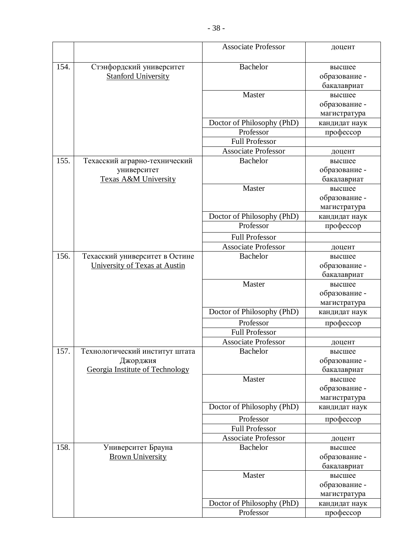|      |                                            | <b>Associate Professor</b>                          | доцент                     |
|------|--------------------------------------------|-----------------------------------------------------|----------------------------|
| 154. | Стэнфордский университет                   | <b>Bachelor</b>                                     | высшее                     |
|      | <b>Stanford University</b>                 |                                                     | образование -              |
|      |                                            |                                                     | бакалавриат                |
|      |                                            | Master                                              | высшее                     |
|      |                                            |                                                     | образование -              |
|      |                                            |                                                     | магистратура               |
|      |                                            | Doctor of Philosophy (PhD)                          | кандидат наук              |
|      |                                            | Professor                                           | профессор                  |
|      |                                            | <b>Full Professor</b>                               |                            |
|      |                                            | <b>Associate Professor</b>                          | доцент                     |
| 155. | Техасский аграрно-технический              | Bachelor                                            | высшее                     |
|      | университет                                |                                                     | образование -              |
|      | <b>Texas A&amp;M University</b>            |                                                     | бакалавриат                |
|      |                                            | Master                                              | высшее                     |
|      |                                            |                                                     | образование -              |
|      |                                            |                                                     | магистратура               |
|      |                                            | Doctor of Philosophy (PhD)                          | кандидат наук              |
|      |                                            | Professor                                           | профессор                  |
|      |                                            | <b>Full Professor</b>                               |                            |
|      |                                            | <b>Associate Professor</b>                          | доцент                     |
| 156. | Техасский университет в Остине             | <b>Bachelor</b>                                     | высшее                     |
|      | University of Texas at Austin              |                                                     | образование -              |
|      |                                            |                                                     | бакалавриат                |
|      |                                            | Master                                              | высшее                     |
|      |                                            |                                                     | образование -              |
|      |                                            | Doctor of Philosophy (PhD)                          | магистратура               |
|      |                                            |                                                     | кандидат наук              |
|      |                                            | Professor                                           | профессор                  |
|      |                                            | <b>Full Professor</b><br><b>Associate Professor</b> |                            |
| 157. |                                            |                                                     | доцент                     |
|      | Технологический институт штата<br>Джорджия | <b>Bachelor</b>                                     | высшее<br>образование -    |
|      | Georgia Institute of Technology            |                                                     | бакалавриат                |
|      |                                            | Master                                              | высшее                     |
|      |                                            |                                                     | образование -              |
|      |                                            |                                                     | магистратура               |
|      |                                            | Doctor of Philosophy (PhD)                          | кандидат наук              |
|      |                                            | Professor                                           | профессор                  |
|      |                                            | <b>Full Professor</b>                               |                            |
|      |                                            | <b>Associate Professor</b>                          | доцент                     |
| 158. | Университет Брауна                         | <b>Bachelor</b>                                     | высшее                     |
|      | <b>Brown University</b>                    |                                                     | образование -              |
|      |                                            |                                                     | бакалавриат                |
|      |                                            | Master                                              | высшее                     |
|      |                                            |                                                     | образование -              |
|      |                                            |                                                     | магистратура               |
|      |                                            | Doctor of Philosophy (PhD)<br>Professor             | кандидат наук<br>профессор |
|      |                                            |                                                     |                            |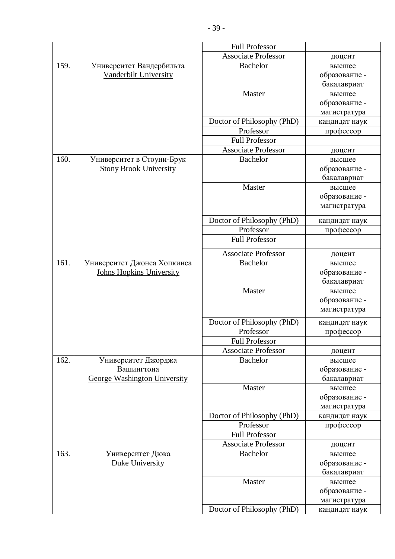|      |                                     | <b>Full Professor</b>      |               |
|------|-------------------------------------|----------------------------|---------------|
|      |                                     | <b>Associate Professor</b> | доцент        |
| 159. | Университет Вандербильта            | <b>Bachelor</b>            | высшее        |
|      | Vanderbilt University               |                            | образование - |
|      |                                     |                            | бакалавриат   |
|      |                                     | Master                     | высшее        |
|      |                                     |                            | образование - |
|      |                                     |                            | магистратура  |
|      |                                     | Doctor of Philosophy (PhD) | кандидат наук |
|      |                                     | Professor                  | профессор     |
|      |                                     | <b>Full Professor</b>      |               |
|      |                                     | <b>Associate Professor</b> | доцент        |
| 160. | Университет в Стоуни-Брук           | <b>Bachelor</b>            | высшее        |
|      | <b>Stony Brook University</b>       |                            | образование - |
|      |                                     |                            | бакалавриат   |
|      |                                     | Master                     | высшее        |
|      |                                     |                            | образование - |
|      |                                     |                            | магистратура  |
|      |                                     | Doctor of Philosophy (PhD) | кандидат наук |
|      |                                     | Professor                  | профессор     |
|      |                                     | <b>Full Professor</b>      |               |
|      |                                     | <b>Associate Professor</b> | доцент        |
| 161. | Университет Джонса Хопкинса         | <b>Bachelor</b>            | высшее        |
|      | <b>Johns Hopkins University</b>     |                            | образование - |
|      |                                     |                            | бакалавриат   |
|      |                                     | Master                     | высшее        |
|      |                                     |                            | образование - |
|      |                                     |                            | магистратура  |
|      |                                     | Doctor of Philosophy (PhD) | кандидат наук |
|      |                                     | Professor                  | профессор     |
|      |                                     | <b>Full Professor</b>      |               |
|      |                                     | <b>Associate Professor</b> | доцент        |
| 162. | Университет Джорджа                 | Bachelor                   | высшее        |
|      | Вашингтона                          |                            | образование - |
|      | <b>George Washington University</b> |                            | бакалавриат   |
|      |                                     | Master                     | высшее        |
|      |                                     |                            | образование - |
|      |                                     |                            | магистратура  |
|      |                                     | Doctor of Philosophy (PhD) | кандидат наук |
|      |                                     | Professor                  | профессор     |
|      |                                     | <b>Full Professor</b>      |               |
|      |                                     | <b>Associate Professor</b> | доцент        |
| 163. | Университет Дюка                    | <b>Bachelor</b>            | высшее        |
|      | Duke University                     |                            | образование - |
|      |                                     |                            | бакалавриат   |
|      |                                     | Master                     | высшее        |
|      |                                     |                            | образование - |
|      |                                     |                            | магистратура  |
|      |                                     | Doctor of Philosophy (PhD) | кандидат наук |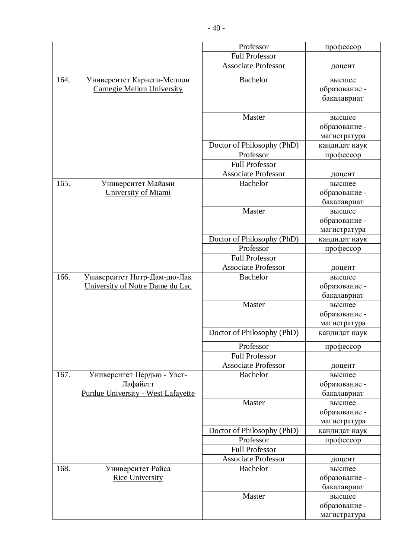|      |                                    | Professor                                           | профессор               |
|------|------------------------------------|-----------------------------------------------------|-------------------------|
|      |                                    | <b>Full Professor</b>                               |                         |
|      |                                    | <b>Associate Professor</b>                          | доцент                  |
| 164. | Университет Карнеги-Меллон         | <b>Bachelor</b>                                     | высшее                  |
|      | <b>Carnegie Mellon University</b>  |                                                     | образование -           |
|      |                                    |                                                     | бакалавриат             |
|      |                                    | Master                                              | высшее                  |
|      |                                    |                                                     | образование -           |
|      |                                    |                                                     | магистратура            |
|      |                                    | Doctor of Philosophy (PhD)                          | кандидат наук           |
|      |                                    | Professor                                           | профессор               |
|      |                                    | <b>Full Professor</b>                               |                         |
|      |                                    | <b>Associate Professor</b>                          | доцент                  |
| 165. | Университет Майами                 | <b>Bachelor</b>                                     | высшее                  |
|      | University of Miami                |                                                     | образование -           |
|      |                                    |                                                     | бакалавриат             |
|      |                                    | Master                                              | высшее                  |
|      |                                    |                                                     | образование -           |
|      |                                    | Doctor of Philosophy (PhD)                          | магистратура            |
|      |                                    | Professor                                           | кандидат наук           |
|      |                                    | <b>Full Professor</b>                               | профессор               |
|      |                                    | <b>Associate Professor</b>                          | доцент                  |
| 166. | Университет Нотр-Дам-дю-Лак        | <b>Bachelor</b>                                     | высшее                  |
|      | University of Notre Dame du Lac    |                                                     | образование -           |
|      |                                    |                                                     | бакалавриат             |
|      |                                    | Master                                              | высшее                  |
|      |                                    |                                                     | образование -           |
|      |                                    |                                                     | магистратура            |
|      |                                    | Doctor of Philosophy (PhD)                          | кандидат наук           |
|      |                                    | Professor                                           | профессор               |
|      |                                    | <b>Full Professor</b>                               |                         |
|      |                                    | <b>Associate Professor</b>                          | доцент                  |
| 167. | Университет Пердью - Уэст-         | <b>Bachelor</b>                                     | высшее                  |
|      | Лафайетт                           |                                                     | образование -           |
|      | Purdue University - West Lafayette |                                                     | бакалавриат             |
|      |                                    | Master                                              | высшее                  |
|      |                                    |                                                     | образование -           |
|      |                                    |                                                     | магистратура            |
|      |                                    | Doctor of Philosophy (PhD)                          | кандидат наук           |
|      |                                    | Professor                                           | профессор               |
|      |                                    | <b>Full Professor</b><br><b>Associate Professor</b> |                         |
| 168. | Университет Райса                  | <b>Bachelor</b>                                     | доцент                  |
|      | <b>Rice University</b>             |                                                     | высшее<br>образование - |
|      |                                    |                                                     | бакалавриат             |
|      |                                    | Master                                              | высшее                  |
|      |                                    |                                                     | образование -           |
|      |                                    |                                                     | магистратура            |
|      |                                    |                                                     |                         |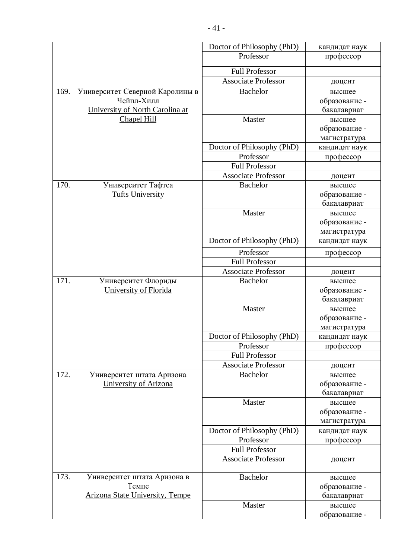|      |                                        | Doctor of Philosophy (PhD) | кандидат наук |
|------|----------------------------------------|----------------------------|---------------|
|      |                                        | Professor                  | профессор     |
|      |                                        | <b>Full Professor</b>      |               |
|      |                                        | <b>Associate Professor</b> |               |
|      |                                        |                            | доцент        |
| 169. | Университет Северной Каролины в        | <b>Bachelor</b>            | высшее        |
|      | Чейпл-Хилл                             |                            | образование - |
|      | University of North Carolina at        |                            | бакалавриат   |
|      | Chapel Hill                            | Master                     | высшее        |
|      |                                        |                            | образование - |
|      |                                        |                            | магистратура  |
|      |                                        | Doctor of Philosophy (PhD) | кандидат наук |
|      |                                        | Professor                  | профессор     |
|      |                                        | <b>Full Professor</b>      |               |
|      |                                        | <b>Associate Professor</b> | доцент        |
| 170. | Университет Тафтса                     | <b>Bachelor</b>            | высшее        |
|      | <b>Tufts University</b>                |                            | образование - |
|      |                                        |                            | бакалавриат   |
|      |                                        | Master                     | высшее        |
|      |                                        |                            | образование - |
|      |                                        |                            | магистратура  |
|      |                                        | Doctor of Philosophy (PhD) | кандидат наук |
|      |                                        | Professor                  | профессор     |
|      |                                        | <b>Full Professor</b>      |               |
|      |                                        | <b>Associate Professor</b> | доцент        |
| 171. | Университет Флориды                    | <b>Bachelor</b>            | высшее        |
|      | University of Florida                  |                            | образование - |
|      |                                        |                            | бакалавриат   |
|      |                                        | Master                     | высшее        |
|      |                                        |                            | образование - |
|      |                                        |                            | магистратура  |
|      |                                        | Doctor of Philosophy (PhD) | кандидат наук |
|      |                                        | Professor                  | профессор     |
|      |                                        | <b>Full Professor</b>      |               |
|      |                                        | <b>Associate Professor</b> | доцент        |
| 172. | Университет штата Аризона              | <b>Bachelor</b>            | высшее        |
|      | University of Arizona                  |                            | образование - |
|      |                                        |                            | бакалавриат   |
|      |                                        | Master                     | высшее        |
|      |                                        |                            | образование - |
|      |                                        |                            | магистратура  |
|      |                                        | Doctor of Philosophy (PhD) | кандидат наук |
|      |                                        | Professor                  | профессор     |
|      |                                        | <b>Full Professor</b>      |               |
|      |                                        | <b>Associate Professor</b> | доцент        |
| 173. | Университет штата Аризона в            | <b>Bachelor</b>            | высшее        |
|      | Темпе                                  |                            | образование - |
|      | <b>Arizona State University, Tempe</b> |                            | бакалавриат   |
|      |                                        | Master                     | высшее        |
|      |                                        |                            | образование - |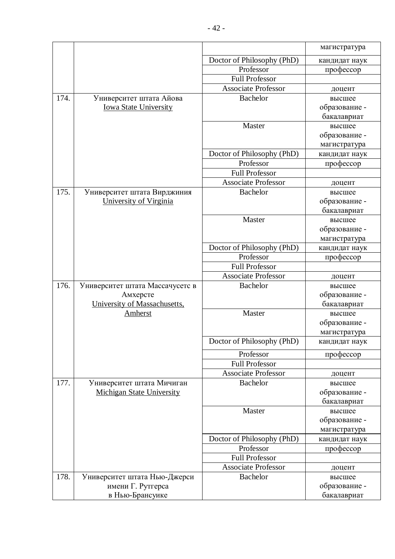|      |                                  |                            | магистратура  |
|------|----------------------------------|----------------------------|---------------|
|      |                                  | Doctor of Philosophy (PhD) | кандидат наук |
|      |                                  | Professor                  | профессор     |
|      |                                  | <b>Full Professor</b>      |               |
|      |                                  | <b>Associate Professor</b> | доцент        |
| 174. | Университет штата Айова          | <b>Bachelor</b>            | высшее        |
|      | <b>Iowa State University</b>     |                            | образование - |
|      |                                  |                            | бакалавриат   |
|      |                                  | Master                     | высшее        |
|      |                                  |                            | образование - |
|      |                                  |                            | магистратура  |
|      |                                  | Doctor of Philosophy (PhD) | кандидат наук |
|      |                                  | Professor                  | профессор     |
|      |                                  | <b>Full Professor</b>      |               |
|      |                                  | <b>Associate Professor</b> | доцент        |
| 175. | Университет штата Вирджиния      | <b>Bachelor</b>            | высшее        |
|      | University of Virginia           |                            | образование - |
|      |                                  |                            | бакалавриат   |
|      |                                  | Master                     | высшее        |
|      |                                  |                            | образование - |
|      |                                  |                            | магистратура  |
|      |                                  | Doctor of Philosophy (PhD) | кандидат наук |
|      |                                  | Professor                  | профессор     |
|      |                                  | <b>Full Professor</b>      |               |
|      |                                  | <b>Associate Professor</b> | доцент        |
| 176. | Университет штата Массачусетс в  | <b>Bachelor</b>            | высшее        |
|      | Амхерсте                         |                            | образование - |
|      | University of Massachusetts,     |                            | бакалавриат   |
|      | <b>Amherst</b>                   | Master                     | высшее        |
|      |                                  |                            | образование - |
|      |                                  |                            | магистратура  |
|      |                                  | Doctor of Philosophy (PhD) | кандидат наук |
|      |                                  | Professor                  | профессор     |
|      |                                  | <b>Full Professor</b>      |               |
|      |                                  | <b>Associate Professor</b> | доцент        |
| 177. | Университет штата Мичиган        | <b>Bachelor</b>            | высшее        |
|      | <b>Michigan State University</b> |                            | образование - |
|      |                                  |                            | бакалавриат   |
|      |                                  | Master                     | высшее        |
|      |                                  |                            | образование - |
|      |                                  |                            | магистратура  |
|      |                                  | Doctor of Philosophy (PhD) | кандидат наук |
|      |                                  | Professor                  | профессор     |
|      |                                  | <b>Full Professor</b>      |               |
|      |                                  | <b>Associate Professor</b> | доцент        |
| 178. | Университет штата Нью-Джерси     | Bachelor                   | высшее        |
|      | имени Г. Рутгерса                |                            | образование - |
|      | в Нью-Брансуике                  |                            | бакалавриат   |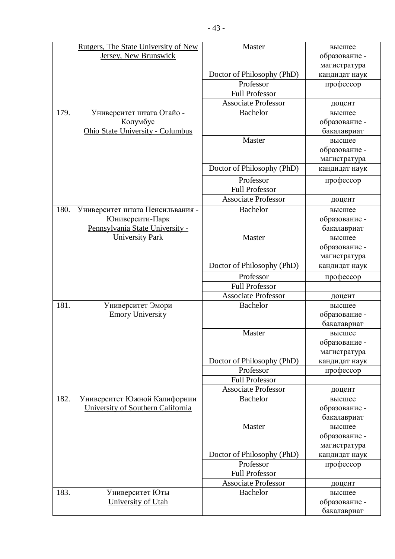|      | Rutgers, The State University of New | Master                                  | высшее                     |
|------|--------------------------------------|-----------------------------------------|----------------------------|
|      | Jersey, New Brunswick                |                                         | образование -              |
|      |                                      |                                         | магистратура               |
|      |                                      | Doctor of Philosophy (PhD)              | кандидат наук              |
|      |                                      | Professor                               | профессор                  |
|      |                                      | <b>Full Professor</b>                   |                            |
|      |                                      | <b>Associate Professor</b>              | доцент                     |
| 179. | Университет штата Огайо -            | <b>Bachelor</b>                         | высшее                     |
|      | Колумбус                             |                                         | образование -              |
|      | Ohio State University - Columbus     |                                         | бакалавриат                |
|      |                                      | Master                                  | высшее                     |
|      |                                      |                                         | образование -              |
|      |                                      |                                         | магистратура               |
|      |                                      | Doctor of Philosophy (PhD)              | кандидат наук              |
|      |                                      | Professor                               | профессор                  |
|      |                                      | <b>Full Professor</b>                   |                            |
|      |                                      | <b>Associate Professor</b>              | доцент                     |
| 180. | Университет штата Пенсильвания -     | <b>Bachelor</b>                         | высшее                     |
|      | Юниверсити-Парк                      |                                         | образование -              |
|      | Pennsylvania State University -      |                                         | бакалавриат                |
|      | <b>University Park</b>               | Master                                  | высшее                     |
|      |                                      |                                         | образование -              |
|      |                                      |                                         | магистратура               |
|      |                                      | Doctor of Philosophy (PhD)              | кандидат наук              |
|      |                                      | Professor                               | профессор                  |
|      |                                      | <b>Full Professor</b>                   |                            |
|      |                                      | <b>Associate Professor</b>              | доцент                     |
| 181. | Университет Эмори                    | <b>Bachelor</b>                         | высшее                     |
|      | <b>Emory University</b>              |                                         | образование -              |
|      |                                      |                                         | бакалавриат                |
|      |                                      | Master                                  | высшее                     |
|      |                                      |                                         | образование -              |
|      |                                      |                                         | магистратура               |
|      |                                      | Doctor of Philosophy (PhD)<br>Professor | кандидат наук<br>профессор |
|      |                                      | <b>Full Professor</b>                   |                            |
|      |                                      | <b>Associate Professor</b>              |                            |
| 182. | Университет Южной Калифорнии         | <b>Bachelor</b>                         | доцент<br>высшее           |
|      | University of Southern California    |                                         | образование -              |
|      |                                      |                                         | бакалавриат                |
|      |                                      | Master                                  | высшее                     |
|      |                                      |                                         | образование -              |
|      |                                      |                                         | магистратура               |
|      |                                      | Doctor of Philosophy (PhD)              | кандидат наук              |
|      |                                      | Professor                               | профессор                  |
|      |                                      | <b>Full Professor</b>                   |                            |
|      |                                      | <b>Associate Professor</b>              | доцент                     |
| 183. | Университет Юты                      | <b>Bachelor</b>                         | высшее                     |
|      | University of Utah                   |                                         | образование -              |
|      |                                      |                                         | бакалавриат                |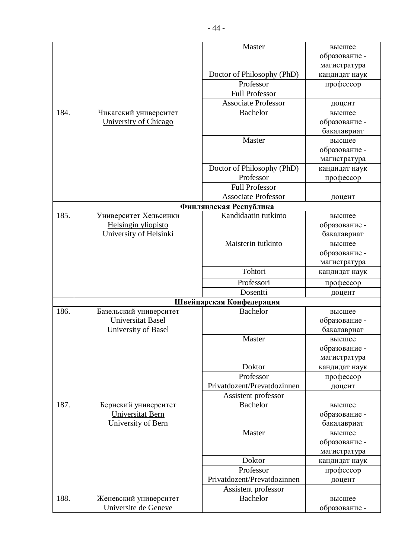|      |                        | Master                      | высшее        |
|------|------------------------|-----------------------------|---------------|
|      |                        |                             | образование - |
|      |                        |                             | магистратура  |
|      |                        | Doctor of Philosophy (PhD)  | кандидат наук |
|      |                        | Professor                   | профессор     |
|      |                        | <b>Full Professor</b>       |               |
|      |                        | <b>Associate Professor</b>  | доцент        |
| 184. | Чикагский университет  | <b>Bachelor</b>             | высшее        |
|      | University of Chicago  |                             | образование - |
|      |                        |                             | бакалавриат   |
|      |                        | Master                      | высшее        |
|      |                        |                             | образование - |
|      |                        |                             | магистратура  |
|      |                        | Doctor of Philosophy (PhD)  | кандидат наук |
|      |                        | Professor                   | профессор     |
|      |                        | <b>Full Professor</b>       |               |
|      |                        | <b>Associate Professor</b>  | доцент        |
|      |                        | Финляндская Республика      |               |
| 185. | Университет Хельсинки  | Kandidaatin tutkinto        | высшее        |
|      | Helsingin yliopisto    |                             | образование - |
|      | University of Helsinki |                             | бакалавриат   |
|      |                        | Maisterin tutkinto          | высшее        |
|      |                        |                             | образование - |
|      |                        |                             | магистратура  |
|      |                        | Tohtori                     | кандидат наук |
|      |                        | Professori                  | профессор     |
|      |                        | Dosentti                    | доцент        |
|      |                        | Швейцарская Конфедерация    |               |
| 186. | Базельский университет | <b>Bachelor</b>             | высшее        |
|      | Universitat Basel      |                             | образование - |
|      | University of Basel    |                             | бакалавриат   |
|      |                        | Master                      | высшее        |
|      |                        |                             | образование - |
|      |                        |                             | магистратура  |
|      |                        | Doktor                      | кандидат наук |
|      |                        | Professor                   | профессор     |
|      |                        | Privatdozent/Prevatdozinnen | доцент        |
|      |                        | Assistent professor         |               |
| 187. | Бернский университет   | <b>Bachelor</b>             | высшее        |
|      | Universitat Bern       |                             | образование - |
|      | University of Bern     |                             | бакалавриат   |
|      |                        | Master                      | высшее        |
|      |                        |                             | образование - |
|      |                        |                             | магистратура  |
|      |                        | Doktor                      | кандидат наук |
|      |                        | Professor                   | профессор     |
|      |                        | Privatdozent/Prevatdozinnen | доцент        |
|      |                        | Assistent professor         |               |
| 188. | Женевский университет  | <b>Bachelor</b>             | высшее        |
|      | Universite de Geneve   |                             | образование - |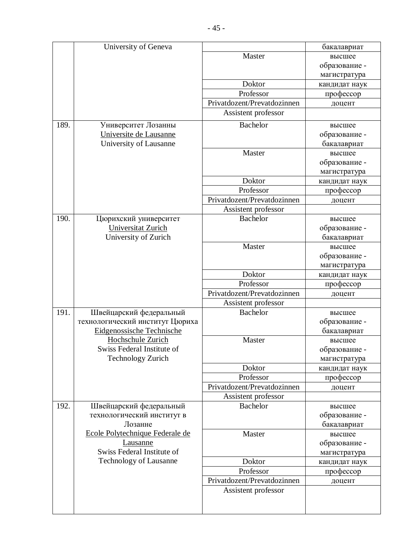|      | University of Geneva             |                             | бакалавриат   |
|------|----------------------------------|-----------------------------|---------------|
|      |                                  | Master                      | высшее        |
|      |                                  |                             | образование - |
|      |                                  |                             | магистратура  |
|      |                                  | Doktor                      | кандидат наук |
|      |                                  | Professor                   | профессор     |
|      |                                  | Privatdozent/Prevatdozinnen | доцент        |
|      |                                  | Assistent professor         |               |
| 189. |                                  |                             |               |
|      | Университет Лозанны              | <b>Bachelor</b>             | высшее        |
|      | Universite de Lausanne           |                             | образование - |
|      | University of Lausanne           |                             | бакалавриат   |
|      |                                  | Master                      | высшее        |
|      |                                  |                             | образование - |
|      |                                  |                             | магистратура  |
|      |                                  | Doktor                      | кандидат наук |
|      |                                  | Professor                   | профессор     |
|      |                                  | Privatdozent/Prevatdozinnen | доцент        |
|      |                                  | Assistent professor         |               |
| 190. | Цюрихский университет            | <b>Bachelor</b>             | высшее        |
|      | Universitat Zurich               |                             | образование - |
|      | University of Zurich             |                             | бакалавриат   |
|      |                                  | Master                      | высшее        |
|      |                                  |                             | образование - |
|      |                                  |                             | магистратура  |
|      |                                  | Doktor                      | кандидат наук |
|      |                                  | Professor                   | профессор     |
|      |                                  | Privatdozent/Prevatdozinnen | доцент        |
|      |                                  | Assistent professor         |               |
| 191. | Швейцарский федеральный          | <b>Bachelor</b>             | высшее        |
|      | технологический институт Цюриха  |                             | образование - |
|      | <b>Eidgenossische Technische</b> |                             | бакалавриат   |
|      | Hochschule Zurich                | Master                      | высшее        |
|      | Swiss Federal Institute of       |                             | образование - |
|      | <b>Technology Zurich</b>         |                             | магистратура  |
|      |                                  | Doktor                      | кандидат наук |
|      |                                  | Professor                   | профессор     |
|      |                                  | Privatdozent/Prevatdozinnen | доцент        |
|      |                                  | Assistent professor         |               |
| 192. | Швейцарский федеральный          | <b>Bachelor</b>             | высшее        |
|      | технологический институт в       |                             | образование - |
|      | Лозанне                          |                             | бакалавриат   |
|      | Ecole Polytechnique Federale de  | Master                      | высшее        |
|      | <b>Lausanne</b>                  |                             | образование - |
|      | Swiss Federal Institute of       |                             | магистратура  |
|      | <b>Technology of Lausanne</b>    | Doktor                      | кандидат наук |
|      |                                  | Professor                   | профессор     |
|      |                                  | Privatdozent/Prevatdozinnen | доцент        |
|      |                                  | Assistent professor         |               |
|      |                                  |                             |               |
|      |                                  |                             |               |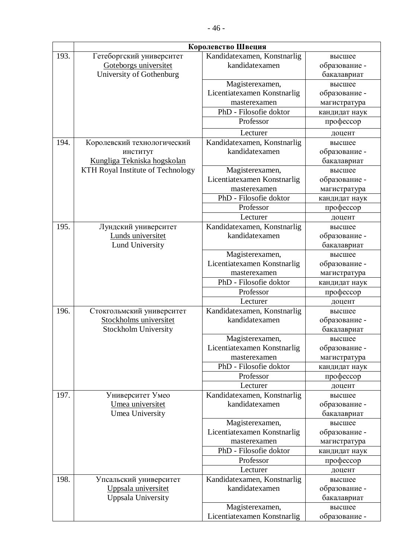|      | Королевство Швеция                                |                                               |                         |  |  |
|------|---------------------------------------------------|-----------------------------------------------|-------------------------|--|--|
| 193. | Гетеборгский университет<br>Goteborgs universitet | Kandidatexamen, Konstnarlig<br>kandidatexamen | высшее<br>образование - |  |  |
|      | University of Gothenburg                          |                                               | бакалавриат             |  |  |
|      |                                                   | Magisterexamen,                               | высшее                  |  |  |
|      |                                                   | Licentiatexamen Konstnarlig                   | образование -           |  |  |
|      |                                                   | masterexamen                                  | магистратура            |  |  |
|      |                                                   | PhD - Filosofie doktor                        | кандидат наук           |  |  |
|      |                                                   | Professor                                     | профессор               |  |  |
|      |                                                   | Lecturer                                      | доцент                  |  |  |
| 194. | Королевский технологический                       | Kandidatexamen, Konstnarlig                   | высшее                  |  |  |
|      | институт                                          | kandidatexamen                                | образование -           |  |  |
|      | Kungliga Tekniska hogskolan                       |                                               | бакалавриат             |  |  |
|      | KTH Royal Institute of Technology                 | Magisterexamen,                               | высшее                  |  |  |
|      |                                                   | Licentiatexamen Konstnarlig                   | образование -           |  |  |
|      |                                                   | masterexamen                                  | магистратура            |  |  |
|      |                                                   | PhD - Filosofie doktor                        | кандидат наук           |  |  |
|      |                                                   | Professor                                     | профессор               |  |  |
|      |                                                   | Lecturer                                      | доцент                  |  |  |
| 195. | Лундский университет                              | Kandidatexamen, Konstnarlig                   | высшее                  |  |  |
|      | Lunds universitet                                 | kandidatexamen                                | образование -           |  |  |
|      | Lund University                                   |                                               | бакалавриат             |  |  |
|      |                                                   | Magisterexamen,                               | высшее                  |  |  |
|      |                                                   | Licentiatexamen Konstnarlig                   | образование -           |  |  |
|      |                                                   | masterexamen                                  | магистратура            |  |  |
|      |                                                   | PhD - Filosofie doktor                        | кандидат наук           |  |  |
|      |                                                   | Professor                                     | профессор               |  |  |
|      |                                                   | Lecturer                                      | доцент                  |  |  |
| 196. | Стокгольмский университет                         | Kandidatexamen, Konstnarlig                   | высшее                  |  |  |
|      | Stockholms universitet                            | kandidatexamen                                | образование -           |  |  |
|      | Stockholm University                              |                                               | бакалавриат             |  |  |
|      |                                                   | Magisterexamen,                               | высшее                  |  |  |
|      |                                                   | Licentiatexamen Konstnarlig                   | образование -           |  |  |
|      |                                                   | masterexamen                                  | магистратура            |  |  |
|      |                                                   | PhD - Filosofie doktor                        | кандидат наук           |  |  |
|      |                                                   | Professor                                     | профессор               |  |  |
|      |                                                   | Lecturer                                      | доцент                  |  |  |
| 197. | Университет Умео                                  | Kandidatexamen, Konstnarlig                   | высшее                  |  |  |
|      | Umea universitet                                  | kandidatexamen                                | образование -           |  |  |
|      | Umea University                                   |                                               | бакалавриат             |  |  |
|      |                                                   | Magisterexamen,                               | высшее                  |  |  |
|      |                                                   | Licentiatexamen Konstnarlig                   | образование -           |  |  |
|      |                                                   | masterexamen                                  | магистратура            |  |  |
|      |                                                   | PhD - Filosofie doktor                        | кандидат наук           |  |  |
|      |                                                   | Professor                                     | профессор               |  |  |
|      |                                                   | Lecturer                                      | доцент                  |  |  |
| 198. | Упсальский университет                            | Kandidatexamen, Konstnarlig<br>kandidatexamen | высшее                  |  |  |
|      | Uppsala universitet                               |                                               | образование -           |  |  |
|      | Uppsala University                                |                                               | бакалавриат             |  |  |
|      |                                                   | Magisterexamen,                               | высшее                  |  |  |
|      |                                                   | Licentiatexamen Konstnarlig                   | образование -           |  |  |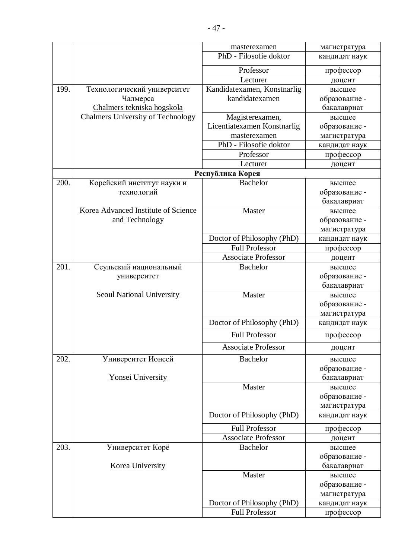|      |                                     | masterexamen                | магистратура  |
|------|-------------------------------------|-----------------------------|---------------|
|      |                                     | PhD - Filosofie doktor      | кандидат наук |
|      |                                     | Professor                   | профессор     |
|      |                                     | Lecturer                    | доцент        |
| 199. | Технологический университет         | Kandidatexamen, Konstnarlig | высшее        |
|      | Чалмерса                            | kandidatexamen              | образование - |
|      | Chalmers tekniska hogskola          |                             | бакалавриат   |
|      | Chalmers University of Technology   | Magisterexamen,             | высшее        |
|      |                                     | Licentiatexamen Konstnarlig | образование - |
|      |                                     | masterexamen                | магистратура  |
|      |                                     | PhD - Filosofie doktor      | кандидат наук |
|      |                                     | Professor                   | профессор     |
|      |                                     | Lecturer                    | доцент        |
|      |                                     | Республика Корея            |               |
| 200. | Корейский институт науки и          | <b>Bachelor</b>             | высшее        |
|      | технологий                          |                             | образование - |
|      |                                     |                             | бакалавриат   |
|      | Korea Advanced Institute of Science | Master                      | высшее        |
|      | and Technology                      |                             | образование - |
|      |                                     |                             | магистратура  |
|      |                                     | Doctor of Philosophy (PhD)  | кандидат наук |
|      |                                     | <b>Full Professor</b>       | профессор     |
|      |                                     | <b>Associate Professor</b>  | доцент        |
| 201. | Сеульский национальный              | <b>Bachelor</b>             | высшее        |
|      | университет                         |                             | образование - |
|      |                                     |                             | бакалавриат   |
|      | <b>Seoul National University</b>    | Master                      | высшее        |
|      |                                     |                             | образование - |
|      |                                     |                             | магистратура  |
|      |                                     | Doctor of Philosophy (PhD)  | кандидат наук |
|      |                                     | <b>Full Professor</b>       | профессор     |
|      |                                     | <b>Associate Professor</b>  | доцент        |
| 202. | Университет Ионсей                  | Bachelor                    | высшее        |
|      |                                     |                             | образование - |
|      | <b>Yonsei University</b>            |                             | бакалавриат   |
|      |                                     | Master                      | высшее        |
|      |                                     |                             | образование - |
|      |                                     |                             | магистратура  |
|      |                                     | Doctor of Philosophy (PhD)  | кандидат наук |
|      |                                     | <b>Full Professor</b>       | профессор     |
|      |                                     | <b>Associate Professor</b>  | доцент        |
| 203. | Университет Корё                    | Bachelor                    | высшее        |
|      |                                     |                             | образование - |
|      | Korea University                    |                             | бакалавриат   |
|      |                                     | Master                      | высшее        |
|      |                                     |                             | образование - |
|      |                                     |                             | магистратура  |
|      |                                     | Doctor of Philosophy (PhD)  | кандидат наук |
|      |                                     | <b>Full Professor</b>       | профессор     |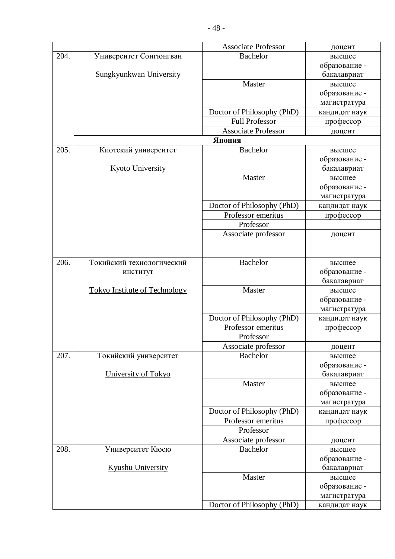|      |                                      | <b>Associate Professor</b> | доцент        |
|------|--------------------------------------|----------------------------|---------------|
| 204. | Университет Сонгюнгван               | <b>Bachelor</b>            | высшее        |
|      |                                      |                            | образование - |
|      | Sungkyunkwan University              |                            | бакалавриат   |
|      |                                      | Master                     | высшее        |
|      |                                      |                            | образование - |
|      |                                      |                            | магистратура  |
|      |                                      | Doctor of Philosophy (PhD) | кандидат наук |
|      |                                      | <b>Full Professor</b>      | профессор     |
|      |                                      | <b>Associate Professor</b> | доцент        |
|      |                                      | Япония                     |               |
| 205. | Киотский университет                 | <b>Bachelor</b>            | высшее        |
|      |                                      |                            | образование - |
|      | <b>Kyoto University</b>              |                            | бакалавриат   |
|      |                                      | Master                     | высшее        |
|      |                                      |                            | образование - |
|      |                                      |                            | магистратура  |
|      |                                      | Doctor of Philosophy (PhD) | кандидат наук |
|      |                                      | Professor emeritus         | профессор     |
|      |                                      | Professor                  |               |
|      |                                      | Associate professor        | доцент        |
|      |                                      |                            |               |
|      |                                      |                            |               |
| 206. | Токийский технологический            | <b>Bachelor</b>            | высшее        |
|      | институт                             |                            | образование - |
|      |                                      |                            | бакалавриат   |
|      | <b>Tokyo Institute of Technology</b> | Master                     | высшее        |
|      |                                      |                            | образование - |
|      |                                      |                            | магистратура  |
|      |                                      | Doctor of Philosophy (PhD) | кандидат наук |
|      |                                      | Professor emeritus         | профессор     |
|      |                                      | Professor                  |               |
|      |                                      | Associate professor        | доцент        |
| 207. | Токийский университет                | <b>Bachelor</b>            | высшее        |
|      |                                      |                            | образование - |
|      | University of Tokyo                  |                            | бакалавриат   |
|      |                                      | Master                     | высшее        |
|      |                                      |                            | образование - |
|      |                                      |                            | магистратура  |
|      |                                      | Doctor of Philosophy (PhD) | кандидат наук |
|      |                                      | Professor emeritus         | профессор     |
|      |                                      | Professor                  |               |
|      |                                      | Associate professor        | доцент        |
| 208. | Университет Кюсю                     | <b>Bachelor</b>            | высшее        |
|      |                                      |                            | образование - |
|      | <b>Kyushu University</b>             |                            | бакалавриат   |
|      |                                      | Master                     | высшее        |
|      |                                      |                            | образование - |
|      |                                      |                            | магистратура  |
|      |                                      | Doctor of Philosophy (PhD) | кандидат наук |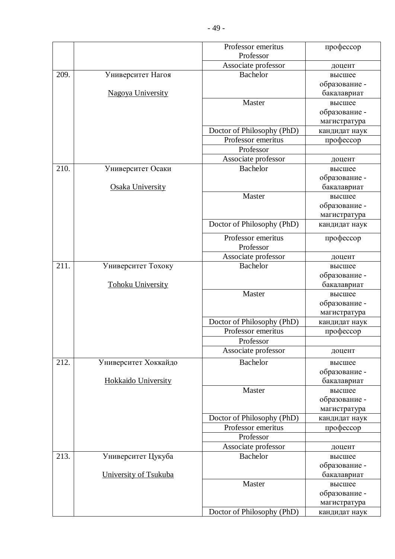|      |                       | Professor emeritus              | профессор     |
|------|-----------------------|---------------------------------|---------------|
|      |                       | Professor                       |               |
|      |                       | Associate professor             | доцент        |
| 209. | Университет Нагоя     | <b>Bachelor</b>                 | высшее        |
|      |                       |                                 | образование - |
|      | Nagoya University     |                                 | бакалавриат   |
|      |                       | Master                          | высшее        |
|      |                       |                                 | образование - |
|      |                       |                                 | магистратура  |
|      |                       | Doctor of Philosophy (PhD)      | кандидат наук |
|      |                       | Professor emeritus              | профессор     |
|      |                       | Professor                       |               |
|      |                       | Associate professor             | доцент        |
| 210. | Университет Осаки     | <b>Bachelor</b>                 | высшее        |
|      |                       |                                 | образование - |
|      | Osaka University      |                                 | бакалавриат   |
|      |                       | Master                          | высшее        |
|      |                       |                                 | образование - |
|      |                       |                                 | магистратура  |
|      |                       | Doctor of Philosophy (PhD)      | кандидат наук |
|      |                       | Professor emeritus<br>Professor | профессор     |
|      |                       | Associate professor             | доцент        |
| 211. | Университет Тохоку    | <b>Bachelor</b>                 | высшее        |
|      |                       |                                 | образование - |
|      | Tohoku University     |                                 | бакалавриат   |
|      |                       | Master                          | высшее        |
|      |                       |                                 | образование - |
|      |                       |                                 | магистратура  |
|      |                       | Doctor of Philosophy (PhD)      | кандидат наук |
|      |                       | Professor emeritus              | профессор     |
|      |                       | Professor                       |               |
|      |                       | Associate professor             | доцент        |
| 212. | Университет Хоккайдо  | <b>Bachelor</b>                 | высшее        |
|      |                       |                                 | образование - |
|      | Hokkaido University   |                                 | бакалавриат   |
|      |                       | Master                          | высшее        |
|      |                       |                                 | образование - |
|      |                       |                                 | магистратура  |
|      |                       | Doctor of Philosophy (PhD)      | кандидат наук |
|      |                       | Professor emeritus              | профессор     |
|      |                       | Professor                       |               |
|      |                       | Associate professor             | доцент        |
| 213. | Университет Цукуба    | <b>Bachelor</b>                 | высшее        |
|      |                       |                                 | образование - |
|      | University of Tsukuba |                                 | бакалавриат   |
|      |                       | Master                          | высшее        |
|      |                       |                                 | образование - |
|      |                       |                                 | магистратура  |
|      |                       | Doctor of Philosophy (PhD)      | кандидат наук |